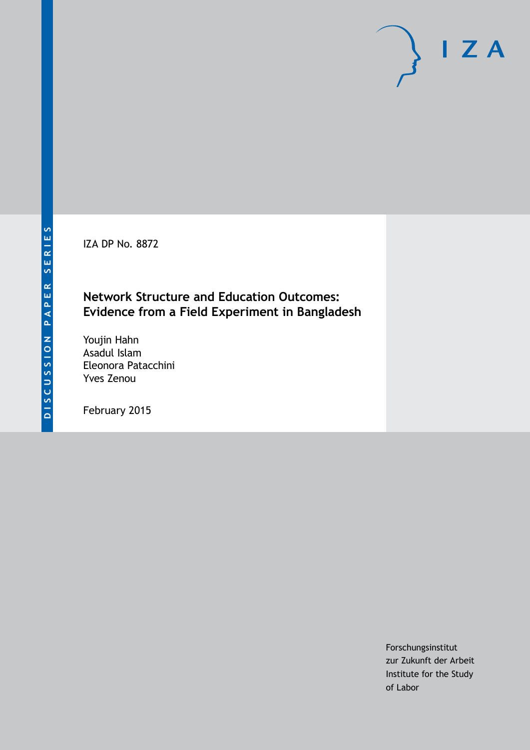IZA DP No. 8872

## **Network Structure and Education Outcomes: Evidence from a Field Experiment in Bangladesh**

Youjin Hahn Asadul Islam Eleonora Patacchini Yves Zenou

February 2015

Forschungsinstitut zur Zukunft der Arbeit Institute for the Study of Labor

 $I Z A$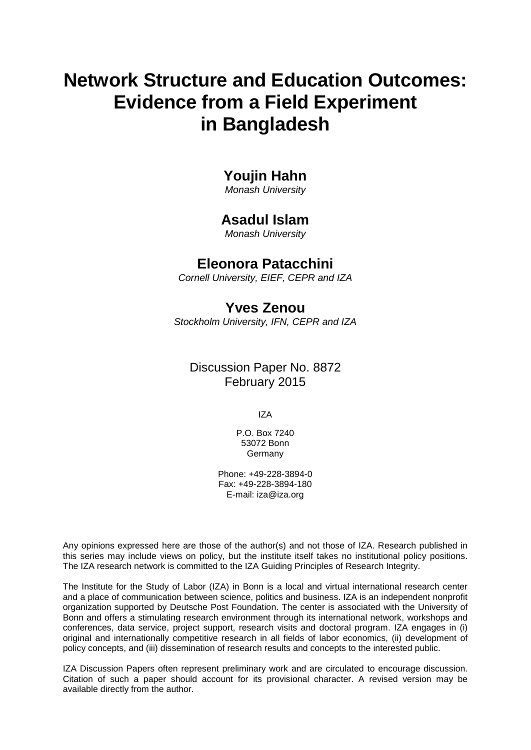# **Network Structure and Education Outcomes: Evidence from a Field Experiment in Bangladesh**

## **Youjin Hahn**

*Monash University*

## **Asadul Islam**

*Monash University*

## **Eleonora Patacchini**

*Cornell University, EIEF, CEPR and IZA*

## **Yves Zenou**

*Stockholm University, IFN, CEPR and IZA*

## Discussion Paper No. 8872 February 2015

IZA

P.O. Box 7240 53072 Bonn **Germany** 

Phone: +49-228-3894-0 Fax: +49-228-3894-180 E-mail: [iza@iza.org](mailto:iza@iza.org)

Any opinions expressed here are those of the author(s) and not those of IZA. Research published in this series may include views on policy, but the institute itself takes no institutional policy positions. The IZA research network is committed to the IZA Guiding Principles of Research Integrity.

The Institute for the Study of Labor (IZA) in Bonn is a local and virtual international research center and a place of communication between science, politics and business. IZA is an independent nonprofit organization supported by Deutsche Post Foundation. The center is associated with the University of Bonn and offers a stimulating research environment through its international network, workshops and conferences, data service, project support, research visits and doctoral program. IZA engages in (i) original and internationally competitive research in all fields of labor economics, (ii) development of policy concepts, and (iii) dissemination of research results and concepts to the interested public.

<span id="page-1-0"></span>IZA Discussion Papers often represent preliminary work and are circulated to encourage discussion. Citation of such a paper should account for its provisional character. A revised version may be available directly from the author.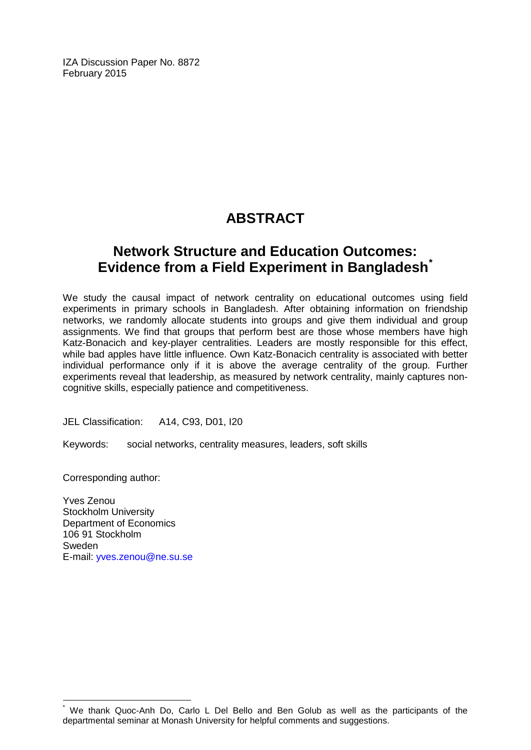IZA Discussion Paper No. 8872 February 2015

# **ABSTRACT**

## **Network Structure and Education Outcomes: Evidence from a Field Experiment in Bangladesh[\\*](#page-1-0)**

We study the causal impact of network centrality on educational outcomes using field experiments in primary schools in Bangladesh. After obtaining information on friendship networks, we randomly allocate students into groups and give them individual and group assignments. We find that groups that perform best are those whose members have high Katz-Bonacich and key-player centralities. Leaders are mostly responsible for this effect, while bad apples have little influence. Own Katz-Bonacich centrality is associated with better individual performance only if it is above the average centrality of the group. Further experiments reveal that leadership, as measured by network centrality, mainly captures noncognitive skills, especially patience and competitiveness.

JEL Classification: A14, C93, D01, I20

Keywords: social networks, centrality measures, leaders, soft skills

Corresponding author:

Yves Zenou Stockholm University Department of Economics 106 91 Stockholm Sweden E-mail: [yves.zenou@ne.su.se](mailto:yves.zenou@ne.su.se)

We thank Quoc-Anh Do, Carlo L Del Bello and Ben Golub as well as the participants of the departmental seminar at Monash University for helpful comments and suggestions.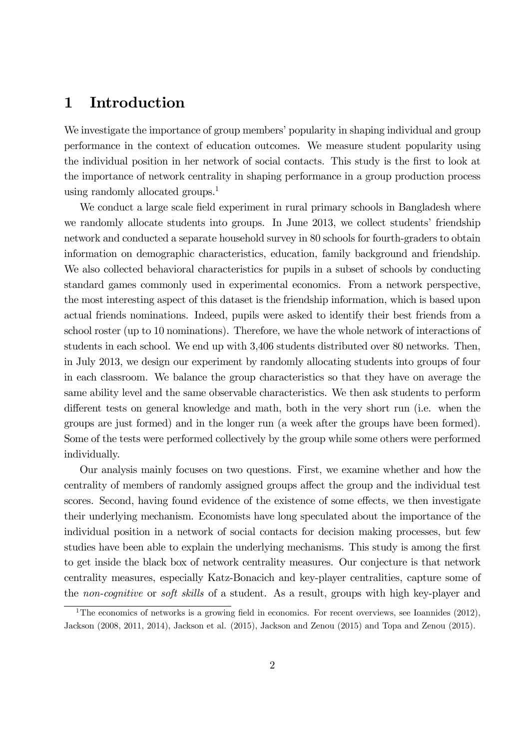## 1 Introduction

We investigate the importance of group members' popularity in shaping individual and group performance in the context of education outcomes. We measure student popularity using the individual position in her network of social contacts. This study is the first to look at the importance of network centrality in shaping performance in a group production process using randomly allocated groups.<sup>1</sup>

We conduct a large scale field experiment in rural primary schools in Bangladesh where we randomly allocate students into groups. In June 2013, we collect students' friendship network and conducted a separate household survey in 80 schools for fourth-graders to obtain information on demographic characteristics, education, family background and friendship. We also collected behavioral characteristics for pupils in a subset of schools by conducting standard games commonly used in experimental economics. From a network perspective, the most interesting aspect of this dataset is the friendship information, which is based upon actual friends nominations. Indeed, pupils were asked to identify their best friends from a school roster (up to 10 nominations). Therefore, we have the whole network of interactions of students in each school. We end up with 3,406 students distributed over 80 networks. Then, in July 2013, we design our experiment by randomly allocating students into groups of four in each classroom. We balance the group characteristics so that they have on average the same ability level and the same observable characteristics. We then ask students to perform different tests on general knowledge and math, both in the very short run (i.e. when the groups are just formed) and in the longer run (a week after the groups have been formed). Some of the tests were performed collectively by the group while some others were performed individually.

Our analysis mainly focuses on two questions. First, we examine whether and how the centrality of members of randomly assigned groups affect the group and the individual test scores. Second, having found evidence of the existence of some effects, we then investigate their underlying mechanism. Economists have long speculated about the importance of the individual position in a network of social contacts for decision making processes, but few studies have been able to explain the underlying mechanisms. This study is among the first to get inside the black box of network centrality measures. Our conjecture is that network centrality measures, especially Katz-Bonacich and key-player centralities, capture some of the non-cognitive or soft skills of a student. As a result, groups with high key-player and

<sup>&</sup>lt;sup>1</sup>The economics of networks is a growing field in economics. For recent overviews, see Ioannides (2012), Jackson (2008, 2011, 2014), Jackson et al. (2015), Jackson and Zenou (2015) and Topa and Zenou (2015).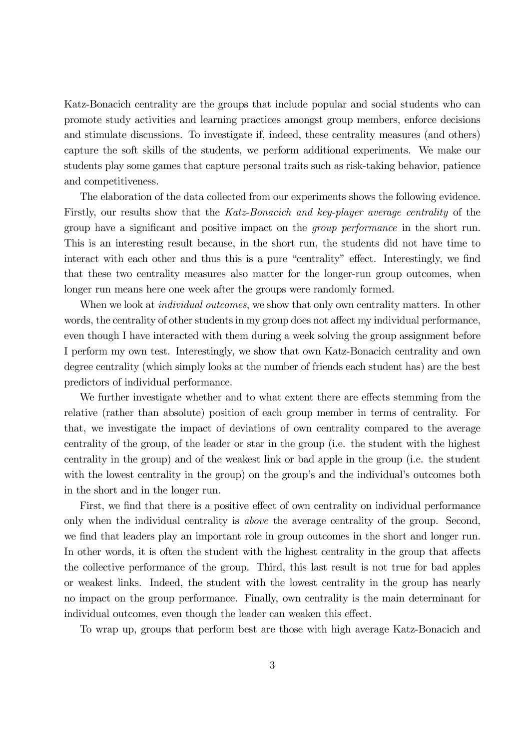Katz-Bonacich centrality are the groups that include popular and social students who can promote study activities and learning practices amongst group members, enforce decisions and stimulate discussions. To investigate if, indeed, these centrality measures (and others) capture the soft skills of the students, we perform additional experiments. We make our students play some games that capture personal traits such as risk-taking behavior, patience and competitiveness.

The elaboration of the data collected from our experiments shows the following evidence. Firstly, our results show that the Katz-Bonacich and key-player average centrality of the group have a significant and positive impact on the *group performance* in the short run. This is an interesting result because, in the short run, the students did not have time to interact with each other and thus this is a pure "centrality" effect. Interestingly, we find that these two centrality measures also matter for the longer-run group outcomes, when longer run means here one week after the groups were randomly formed.

When we look at *individual outcomes*, we show that only own centrality matters. In other words, the centrality of other students in my group does not affect my individual performance, even though I have interacted with them during a week solving the group assignment before I perform my own test. Interestingly, we show that own Katz-Bonacich centrality and own degree centrality (which simply looks at the number of friends each student has) are the best predictors of individual performance.

We further investigate whether and to what extent there are effects stemming from the relative (rather than absolute) position of each group member in terms of centrality. For that, we investigate the impact of deviations of own centrality compared to the average centrality of the group, of the leader or star in the group (i.e. the student with the highest centrality in the group) and of the weakest link or bad apple in the group (i.e. the student with the lowest centrality in the group) on the group's and the individual's outcomes both in the short and in the longer run.

First, we find that there is a positive effect of own centrality on individual performance only when the individual centrality is above the average centrality of the group. Second, we find that leaders play an important role in group outcomes in the short and longer run. In other words, it is often the student with the highest centrality in the group that affects the collective performance of the group. Third, this last result is not true for bad apples or weakest links. Indeed, the student with the lowest centrality in the group has nearly no impact on the group performance. Finally, own centrality is the main determinant for individual outcomes, even though the leader can weaken this effect.

To wrap up, groups that perform best are those with high average Katz-Bonacich and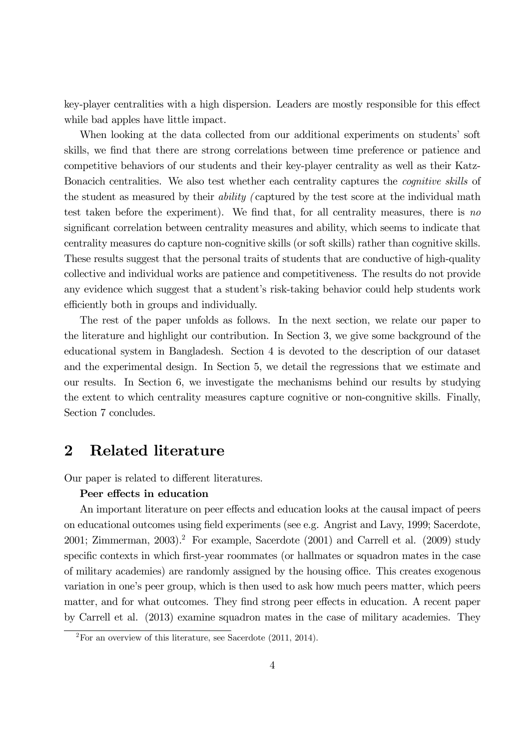key-player centralities with a high dispersion. Leaders are mostly responsible for this effect while bad apples have little impact.

When looking at the data collected from our additional experiments on students' soft skills, we find that there are strong correlations between time preference or patience and competitive behaviors of our students and their key-player centrality as well as their Katz-Bonacich centralities. We also test whether each centrality captures the cognitive skills of the student as measured by their ability ( captured by the test score at the individual math test taken before the experiment). We find that, for all centrality measures, there is no significant correlation between centrality measures and ability, which seems to indicate that centrality measures do capture non-cognitive skills (or soft skills) rather than cognitive skills. These results suggest that the personal traits of students that are conductive of high-quality collective and individual works are patience and competitiveness. The results do not provide any evidence which suggest that a student's risk-taking behavior could help students work efficiently both in groups and individually.

The rest of the paper unfolds as follows. In the next section, we relate our paper to the literature and highlight our contribution. In Section 3, we give some background of the educational system in Bangladesh. Section 4 is devoted to the description of our dataset and the experimental design. In Section 5, we detail the regressions that we estimate and our results. In Section 6, we investigate the mechanisms behind our results by studying the extent to which centrality measures capture cognitive or non-congnitive skills. Finally, Section 7 concludes.

## 2 Related literature

Our paper is related to different literatures.

#### Peer effects in education

An important literature on peer effects and education looks at the causal impact of peers on educational outcomes using field experiments (see e.g. Angrist and Lavy, 1999; Sacerdote, 2001; Zimmerman, 2003).<sup>2</sup> For example, Sacerdote  $(2001)$  and Carrell et al.  $(2009)$  study specific contexts in which first-year roommates (or hallmates or squadron mates in the case of military academies) are randomly assigned by the housing office. This creates exogenous variation in one's peer group, which is then used to ask how much peers matter, which peers matter, and for what outcomes. They find strong peer effects in education. A recent paper by Carrell et al. (2013) examine squadron mates in the case of military academies. They

 $2\text{For an overview of this literature, see Sacerdote } (2011, 2014).$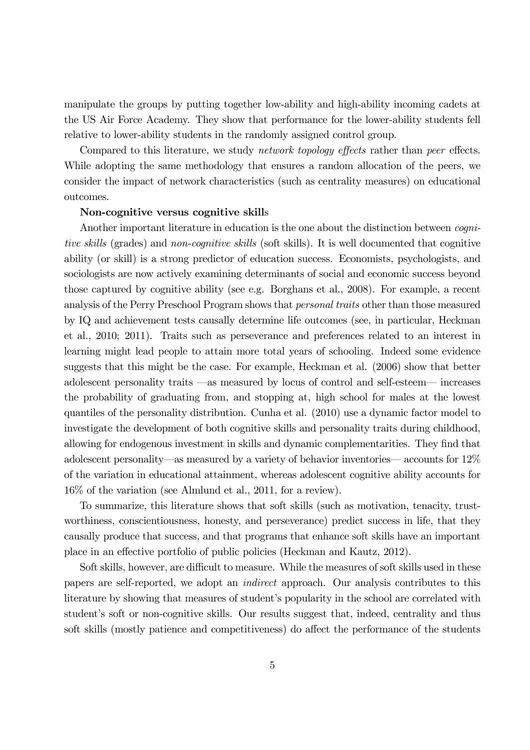manipulate the groups by putting together low-ability and high-ability incoming cadets at the US Air Force Academy. They show that performance for the lower-ability students fell relative to lower-ability students in the randomly assigned control group.

Compared to this literature, we study *network topology effects* rather than *peer* effects. While adopting the same methodology that ensures a random allocation of the peers, we consider the impact of network characteristics (such as centrality measures) on educational outcomes.

#### Non-cognitive versus cognitive skills

Another important literature in education is the one about the distinction between cognitive skills (grades) and non-cognitive skills (soft skills). It is well documented that cognitive ability (or skill) is a strong predictor of education success. Economists, psychologists, and sociologists are now actively examining determinants of social and economic success beyond those captured by cognitive ability (see e.g. Borghans et al., 2008). For example, a recent analysis of the Perry Preschool Program shows that personal traits other than those measured by IQ and achievement tests causally determine life outcomes (see, in particular, Heckman et al., 2010; 2011). Traits such as perseverance and preferences related to an interest in learning might lead people to attain more total years of schooling. Indeed some evidence suggests that this might be the case. For example, Heckman et al. (2006) show that better adolescent personality traits –as measured by locus of control and self-esteem– increases the probability of graduating from, and stopping at, high school for males at the lowest quantiles of the personality distribution. Cunha et al. (2010) use a dynamic factor model to investigate the development of both cognitive skills and personality traits during childhood, allowing for endogenous investment in skills and dynamic complementarities. They find that adolescent personality–as measured by a variety of behavior inventories– accounts for 12% of the variation in educational attainment, whereas adolescent cognitive ability accounts for 16% of the variation (see Almlund et al., 2011, for a review).

To summarize, this literature shows that soft skills (such as motivation, tenacity, trustworthiness, conscientiousness, honesty, and perseverance) predict success in life, that they causally produce that success, and that programs that enhance soft skills have an important place in an effective portfolio of public policies (Heckman and Kautz, 2012).

Soft skills, however, are difficult to measure. While the measures of soft skills used in these papers are self-reported, we adopt an indirect approach. Our analysis contributes to this literature by showing that measures of student's popularity in the school are correlated with student's soft or non-cognitive skills. Our results suggest that, indeed, centrality and thus soft skills (mostly patience and competitiveness) do affect the performance of the students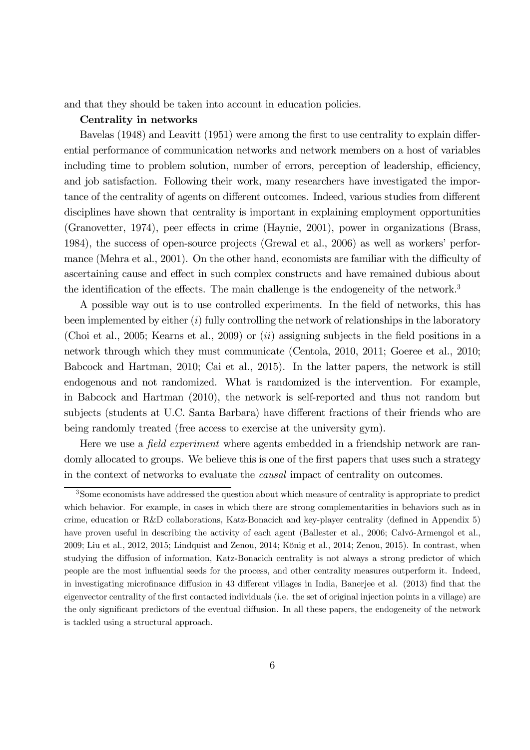and that they should be taken into account in education policies.

#### Centrality in networks

Bavelas (1948) and Leavitt (1951) were among the first to use centrality to explain differential performance of communication networks and network members on a host of variables including time to problem solution, number of errors, perception of leadership, efficiency, and job satisfaction. Following their work, many researchers have investigated the importance of the centrality of agents on different outcomes. Indeed, various studies from different disciplines have shown that centrality is important in explaining employment opportunities (Granovetter, 1974), peer effects in crime (Haynie, 2001), power in organizations (Brass, 1984), the success of open-source projects (Grewal et al., 2006) as well as workers' performance (Mehra et al., 2001). On the other hand, economists are familiar with the difficulty of ascertaining cause and effect in such complex constructs and have remained dubious about the identification of the effects. The main challenge is the endogeneity of the network.<sup>3</sup>

A possible way out is to use controlled experiments. In the field of networks, this has been implemented by either  $(i)$  fully controlling the network of relationships in the laboratory (Choi et al., 2005; Kearns et al., 2009) or  $(ii)$  assigning subjects in the field positions in a network through which they must communicate (Centola, 2010, 2011; Goeree et al., 2010; Babcock and Hartman, 2010; Cai et al., 2015). In the latter papers, the network is still endogenous and not randomized. What is randomized is the intervention. For example, in Babcock and Hartman (2010), the network is self-reported and thus not random but subjects (students at U.C. Santa Barbara) have different fractions of their friends who are being randomly treated (free access to exercise at the university gym).

Here we use a *field experiment* where agents embedded in a friendship network are randomly allocated to groups. We believe this is one of the first papers that uses such a strategy in the context of networks to evaluate the causal impact of centrality on outcomes.

<sup>3</sup>Some economists have addressed the question about which measure of centrality is appropriate to predict which behavior. For example, in cases in which there are strong complementarities in behaviors such as in crime, education or R&D collaborations, Katz-Bonacich and key-player centrality (defined in Appendix 5) have proven useful in describing the activity of each agent (Ballester et al., 2006; Calvó-Armengol et al., 2009; Liu et al., 2012, 2015; Lindquist and Zenou, 2014; König et al., 2014; Zenou, 2015). In contrast, when studying the diffusion of information, Katz-Bonacich centrality is not always a strong predictor of which people are the most influential seeds for the process, and other centrality measures outperform it. Indeed, in investigating microfinance diffusion in 43 different villages in India, Banerjee et al. (2013) find that the eigenvector centrality of the first contacted individuals (i.e. the set of original injection points in a village) are the only significant predictors of the eventual diffusion. In all these papers, the endogeneity of the network is tackled using a structural approach.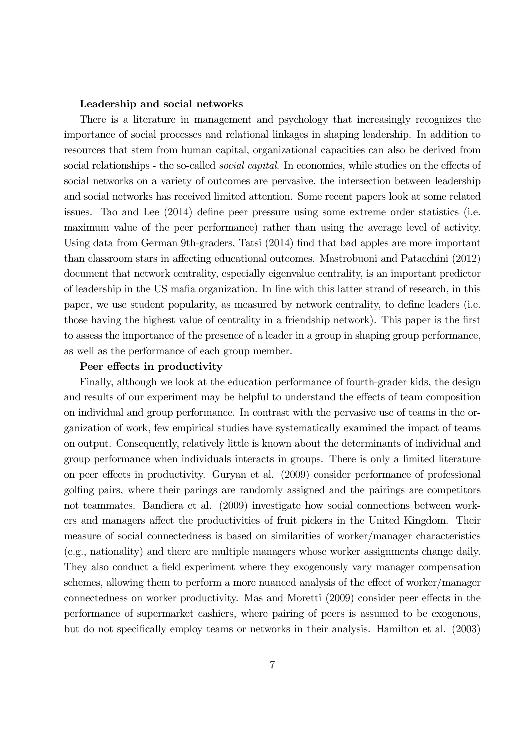#### Leadership and social networks

There is a literature in management and psychology that increasingly recognizes the importance of social processes and relational linkages in shaping leadership. In addition to resources that stem from human capital, organizational capacities can also be derived from social relationships - the so-called *social capital*. In economics, while studies on the effects of social networks on a variety of outcomes are pervasive, the intersection between leadership and social networks has received limited attention. Some recent papers look at some related issues. Tao and Lee (2014) define peer pressure using some extreme order statistics (i.e. maximum value of the peer performance) rather than using the average level of activity. Using data from German 9th-graders, Tatsi (2014) find that bad apples are more important than classroom stars in affecting educational outcomes. Mastrobuoni and Patacchini (2012) document that network centrality, especially eigenvalue centrality, is an important predictor of leadership in the US mafia organization. In line with this latter strand of research, in this paper, we use student popularity, as measured by network centrality, to define leaders (i.e. those having the highest value of centrality in a friendship network). This paper is the first to assess the importance of the presence of a leader in a group in shaping group performance, as well as the performance of each group member.

#### Peer effects in productivity

Finally, although we look at the education performance of fourth-grader kids, the design and results of our experiment may be helpful to understand the effects of team composition on individual and group performance. In contrast with the pervasive use of teams in the organization of work, few empirical studies have systematically examined the impact of teams on output. Consequently, relatively little is known about the determinants of individual and group performance when individuals interacts in groups. There is only a limited literature on peer effects in productivity. Guryan et al. (2009) consider performance of professional golfing pairs, where their parings are randomly assigned and the pairings are competitors not teammates. Bandiera et al. (2009) investigate how social connections between workers and managers affect the productivities of fruit pickers in the United Kingdom. Their measure of social connectedness is based on similarities of worker/manager characteristics (e.g., nationality) and there are multiple managers whose worker assignments change daily. They also conduct a field experiment where they exogenously vary manager compensation schemes, allowing them to perform a more nuanced analysis of the effect of worker/manager connectedness on worker productivity. Mas and Moretti (2009) consider peer effects in the performance of supermarket cashiers, where pairing of peers is assumed to be exogenous, but do not specifically employ teams or networks in their analysis. Hamilton et al. (2003)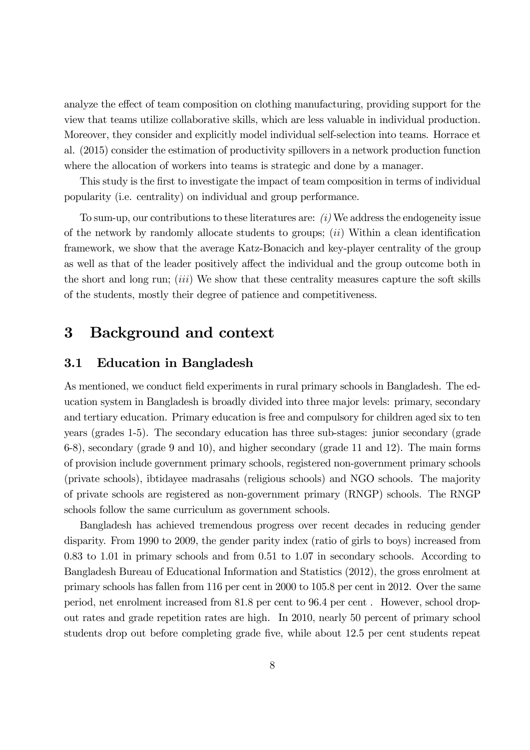analyze the effect of team composition on clothing manufacturing, providing support for the view that teams utilize collaborative skills, which are less valuable in individual production. Moreover, they consider and explicitly model individual self-selection into teams. Horrace et al. (2015) consider the estimation of productivity spillovers in a network production function where the allocation of workers into teams is strategic and done by a manager.

This study is the first to investigate the impact of team composition in terms of individual popularity (i.e. centrality) on individual and group performance.

To sum-up, our contributions to these literatures are: (i) We address the endogeneity issue of the network by randomly allocate students to groups;  $(ii)$  Within a clean identification framework, we show that the average Katz-Bonacich and key-player centrality of the group as well as that of the leader positively affect the individual and the group outcome both in the short and long run;  $(iii)$  We show that these centrality measures capture the soft skills of the students, mostly their degree of patience and competitiveness.

## 3 Background and context

## 3.1 Education in Bangladesh

As mentioned, we conduct field experiments in rural primary schools in Bangladesh. The education system in Bangladesh is broadly divided into three major levels: primary, secondary and tertiary education. Primary education is free and compulsory for children aged six to ten years (grades 1-5). The secondary education has three sub-stages: junior secondary (grade 6-8), secondary (grade 9 and 10), and higher secondary (grade 11 and 12). The main forms of provision include government primary schools, registered non-government primary schools (private schools), ibtidayee madrasahs (religious schools) and NGO schools. The majority of private schools are registered as non-government primary (RNGP) schools. The RNGP schools follow the same curriculum as government schools.

Bangladesh has achieved tremendous progress over recent decades in reducing gender disparity. From 1990 to 2009, the gender parity index (ratio of girls to boys) increased from 0.83 to 1.01 in primary schools and from 0.51 to 1.07 in secondary schools. According to Bangladesh Bureau of Educational Information and Statistics (2012), the gross enrolment at primary schools has fallen from 116 per cent in 2000 to 105.8 per cent in 2012. Over the same period, net enrolment increased from 81.8 per cent to 96.4 per cent . However, school dropout rates and grade repetition rates are high. In 2010, nearly 50 percent of primary school students drop out before completing grade five, while about 12.5 per cent students repeat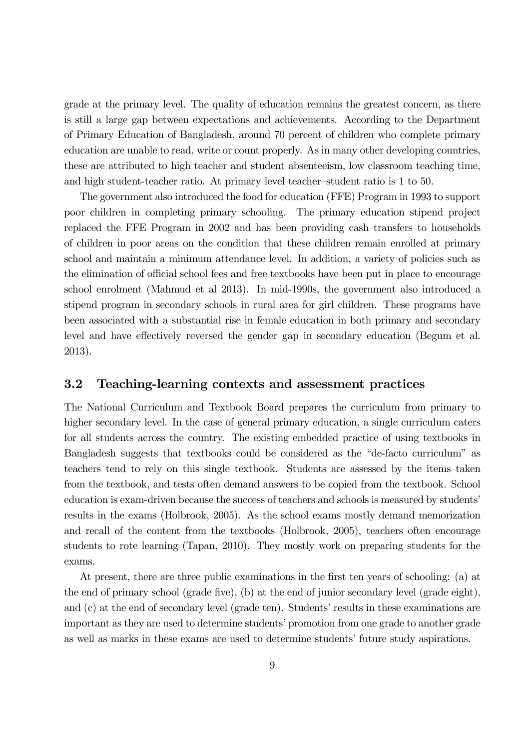grade at the primary level. The quality of education remains the greatest concern, as there is still a large gap between expectations and achievements. According to the Department of Primary Education of Bangladesh, around 70 percent of children who complete primary education are unable to read, write or count properly. As in many other developing countries, these are attributed to high teacher and student absenteeism, low classroom teaching time, and high student-teacher ratio. At primary level teacher—student ratio is 1 to 50.

The government also introduced the food for education (FFE) Program in 1993 to support poor children in completing primary schooling. The primary education stipend project replaced the FFE Program in 2002 and has been providing cash transfers to households of children in poor areas on the condition that these children remain enrolled at primary school and maintain a minimum attendance level. In addition, a variety of policies such as the elimination of official school fees and free textbooks have been put in place to encourage school enrolment (Mahmud et al 2013). In mid-1990s, the government also introduced a stipend program in secondary schools in rural area for girl children. These programs have been associated with a substantial rise in female education in both primary and secondary level and have effectively reversed the gender gap in secondary education (Begum et al. 2013).

### 3.2 Teaching-learning contexts and assessment practices

The National Curriculum and Textbook Board prepares the curriculum from primary to higher secondary level. In the case of general primary education, a single curriculum caters for all students across the country. The existing embedded practice of using textbooks in Bangladesh suggests that textbooks could be considered as the "de-facto curriculum" as teachers tend to rely on this single textbook. Students are assessed by the items taken from the textbook, and tests often demand answers to be copied from the textbook. School education is exam-driven because the success of teachers and schools is measured by students' results in the exams (Holbrook, 2005). As the school exams mostly demand memorization and recall of the content from the textbooks (Holbrook, 2005), teachers often encourage students to rote learning (Tapan, 2010). They mostly work on preparing students for the exams.

At present, there are three public examinations in the first ten years of schooling: (a) at the end of primary school (grade five), (b) at the end of junior secondary level (grade eight), and (c) at the end of secondary level (grade ten). Students' results in these examinations are important as they are used to determine students' promotion from one grade to another grade as well as marks in these exams are used to determine students' future study aspirations.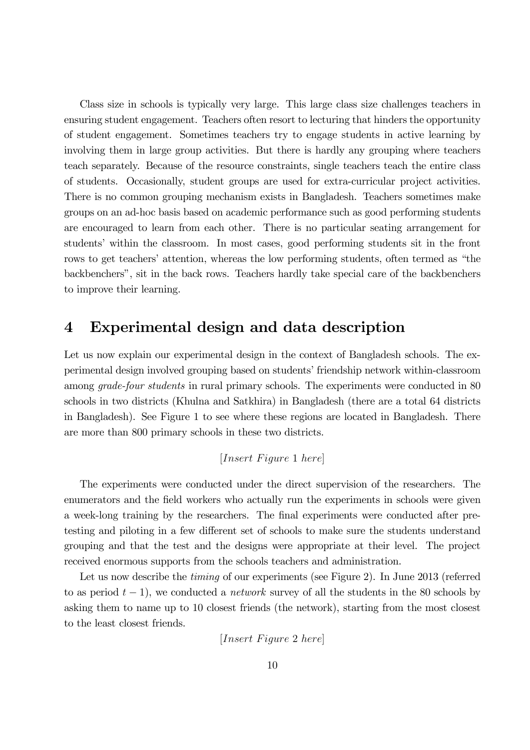Class size in schools is typically very large. This large class size challenges teachers in ensuring student engagement. Teachers often resort to lecturing that hinders the opportunity of student engagement. Sometimes teachers try to engage students in active learning by involving them in large group activities. But there is hardly any grouping where teachers teach separately. Because of the resource constraints, single teachers teach the entire class of students. Occasionally, student groups are used for extra-curricular project activities. There is no common grouping mechanism exists in Bangladesh. Teachers sometimes make groups on an ad-hoc basis based on academic performance such as good performing students are encouraged to learn from each other. There is no particular seating arrangement for students' within the classroom. In most cases, good performing students sit in the front rows to get teachers' attention, whereas the low performing students, often termed as "the backbenchers", sit in the back rows. Teachers hardly take special care of the backbenchers to improve their learning.

## 4 Experimental design and data description

Let us now explain our experimental design in the context of Bangladesh schools. The experimental design involved grouping based on students' friendship network within-classroom among *grade-four students* in rural primary schools. The experiments were conducted in 80 schools in two districts (Khulna and Satkhira) in Bangladesh (there are a total 64 districts in Bangladesh). See Figure 1 to see where these regions are located in Bangladesh. There are more than 800 primary schools in these two districts.

[ 1 ]

The experiments were conducted under the direct supervision of the researchers. The enumerators and the field workers who actually run the experiments in schools were given a week-long training by the researchers. The final experiments were conducted after pretesting and piloting in a few different set of schools to make sure the students understand grouping and that the test and the designs were appropriate at their level. The project received enormous supports from the schools teachers and administration.

Let us now describe the *timing* of our experiments (see Figure 2). In June 2013 (referred to as period  $t-1$ , we conducted a *network* survey of all the students in the 80 schools by asking them to name up to 10 closest friends (the network), starting from the most closest to the least closest friends.

 $[Insert \, Figure \, 2 \, here]$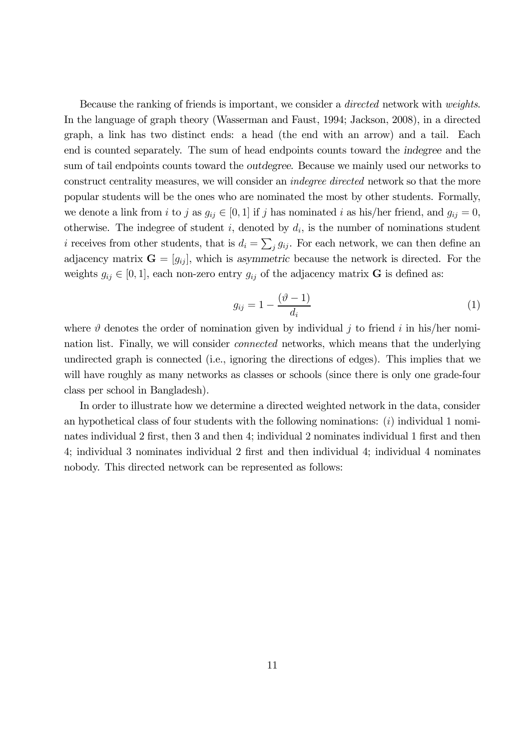Because the ranking of friends is important, we consider a directed network with weights. In the language of graph theory (Wasserman and Faust, 1994; Jackson, 2008), in a directed graph, a link has two distinct ends: a head (the end with an arrow) and a tail. Each end is counted separately. The sum of head endpoints counts toward the indegree and the sum of tail endpoints counts toward the outdegree. Because we mainly used our networks to construct centrality measures, we will consider an indegree directed network so that the more popular students will be the ones who are nominated the most by other students. Formally, we denote a link from i to j as  $g_{ij} \in [0,1]$  if j has nominated i as his/her friend, and  $g_{ij} = 0$ , otherwise. The indegree of student i, denoted by  $d_i$ , is the number of nominations student *i* receives from other students, that is  $d_i = \sum_j g_{ij}$ . For each network, we can then define an adjacency matrix  $\mathbf{G} = [g_{ij}]$ , which is asymmetric because the network is directed. For the weights  $g_{ij} \in [0,1]$ , each non-zero entry  $g_{ij}$  of the adjacency matrix **G** is defined as:

$$
g_{ij} = 1 - \frac{(\vartheta - 1)}{d_i} \tag{1}
$$

where  $\vartheta$  denotes the order of nomination given by individual j to friend i in his/her nomination list. Finally, we will consider connected networks, which means that the underlying undirected graph is connected (i.e., ignoring the directions of edges). This implies that we will have roughly as many networks as classes or schools (since there is only one grade-four class per school in Bangladesh).

In order to illustrate how we determine a directed weighted network in the data, consider an hypothetical class of four students with the following nominations:  $(i)$  individual 1 nominates individual 2 first, then 3 and then 4; individual 2 nominates individual 1 first and then 4; individual 3 nominates individual 2 first and then individual 4; individual 4 nominates nobody. This directed network can be represented as follows: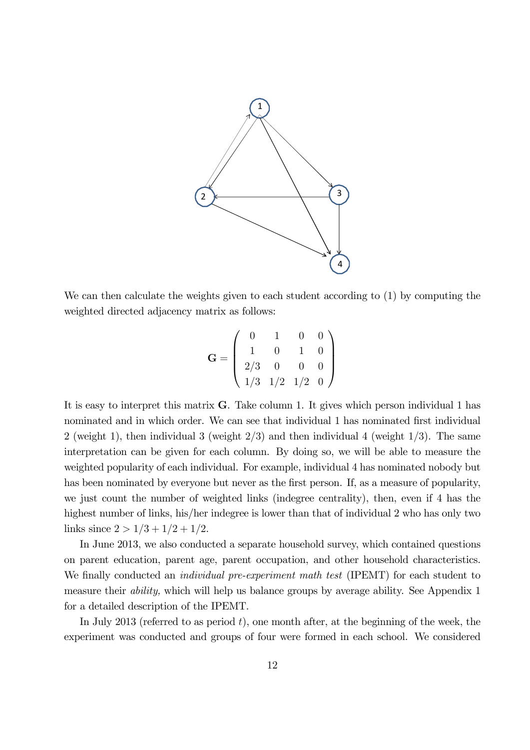

We can then calculate the weights given to each student according to (1) by computing the weighted directed adjacency matrix as follows:

$$
\mathbf{G} = \left( \begin{array}{cccc} 0 & 1 & 0 & 0 \\ 1 & 0 & 1 & 0 \\ 2/3 & 0 & 0 & 0 \\ 1/3 & 1/2 & 1/2 & 0 \end{array} \right)
$$

It is easy to interpret this matrix G. Take column 1. It gives which person individual 1 has nominated and in which order. We can see that individual 1 has nominated first individual 2 (weight 1), then individual 3 (weight  $2/3$ ) and then individual 4 (weight  $1/3$ ). The same interpretation can be given for each column. By doing so, we will be able to measure the weighted popularity of each individual. For example, individual 4 has nominated nobody but has been nominated by everyone but never as the first person. If, as a measure of popularity, we just count the number of weighted links (indegree centrality), then, even if 4 has the highest number of links, his/her indegree is lower than that of individual 2 who has only two links since  $2 > 1/3 + 1/2 + 1/2$ .

In June 2013, we also conducted a separate household survey, which contained questions on parent education, parent age, parent occupation, and other household characteristics. We finally conducted an *individual pre-experiment math test* (IPEMT) for each student to measure their ability, which will help us balance groups by average ability. See Appendix 1 for a detailed description of the IPEMT.

In July 2013 (referred to as period  $t$ ), one month after, at the beginning of the week, the experiment was conducted and groups of four were formed in each school. We considered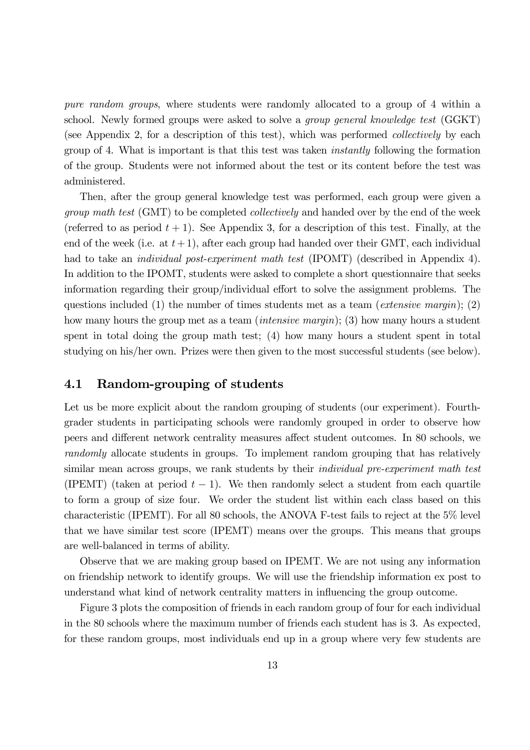pure random groups, where students were randomly allocated to a group of 4 within a school. Newly formed groups were asked to solve a group general knowledge test (GGKT) (see Appendix 2, for a description of this test), which was performed collectively by each group of 4. What is important is that this test was taken instantly following the formation of the group. Students were not informed about the test or its content before the test was administered.

Then, after the group general knowledge test was performed, each group were given a group math test (GMT) to be completed collectively and handed over by the end of the week (referred to as period  $t + 1$ ). See Appendix 3, for a description of this test. Finally, at the end of the week (i.e. at  $t+1$ ), after each group had handed over their GMT, each individual had to take an *individual post-experiment math test* (IPOMT) (described in Appendix 4). In addition to the IPOMT, students were asked to complete a short questionnaire that seeks information regarding their group/individual effort to solve the assignment problems. The questions included (1) the number of times students met as a team (*extensive margin*); (2) how many hours the group met as a team *(intensive margin)*; (3) how many hours a student spent in total doing the group math test; (4) how many hours a student spent in total studying on his/her own. Prizes were then given to the most successful students (see below).

## 4.1 Random-grouping of students

Let us be more explicit about the random grouping of students (our experiment). Fourthgrader students in participating schools were randomly grouped in order to observe how peers and different network centrality measures affect student outcomes. In 80 schools, we randomly allocate students in groups. To implement random grouping that has relatively similar mean across groups, we rank students by their *individual pre-experiment math test* (IPEMT) (taken at period  $t-1$ ). We then randomly select a student from each quartile to form a group of size four. We order the student list within each class based on this characteristic (IPEMT). For all 80 schools, the ANOVA F-test fails to reject at the 5% level that we have similar test score (IPEMT) means over the groups. This means that groups are well-balanced in terms of ability.

Observe that we are making group based on IPEMT. We are not using any information on friendship network to identify groups. We will use the friendship information ex post to understand what kind of network centrality matters in influencing the group outcome.

Figure 3 plots the composition of friends in each random group of four for each individual in the 80 schools where the maximum number of friends each student has is 3. As expected, for these random groups, most individuals end up in a group where very few students are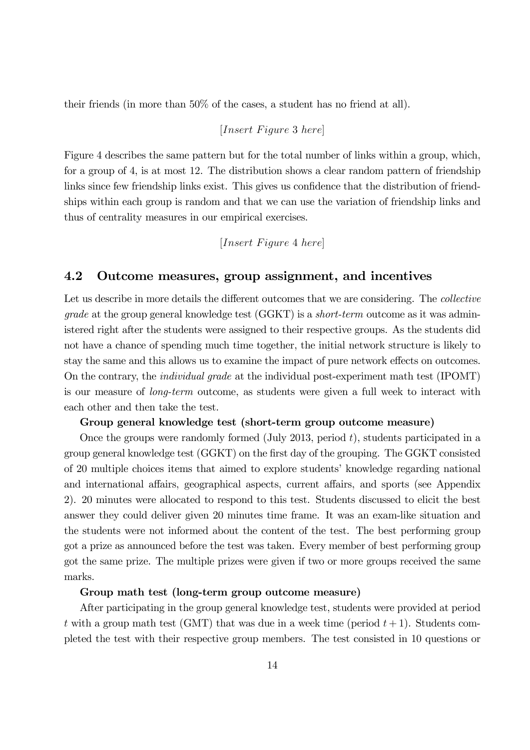their friends (in more than 50% of the cases, a student has no friend at all).

## $[Insert \, Figure \, 3 \, here]$

Figure 4 describes the same pattern but for the total number of links within a group, which, for a group of 4, is at most 12. The distribution shows a clear random pattern of friendship links since few friendship links exist. This gives us confidence that the distribution of friendships within each group is random and that we can use the variation of friendship links and thus of centrality measures in our empirical exercises.

## $[Insert \; Figure \; 4 \; here]$

### 4.2 Outcome measures, group assignment, and incentives

Let us describe in more details the different outcomes that we are considering. The *collective grade* at the group general knowledge test  $(GGKT)$  is a *short-term* outcome as it was administered right after the students were assigned to their respective groups. As the students did not have a chance of spending much time together, the initial network structure is likely to stay the same and this allows us to examine the impact of pure network effects on outcomes. On the contrary, the individual grade at the individual post-experiment math test (IPOMT) is our measure of long-term outcome, as students were given a full week to interact with each other and then take the test.

#### Group general knowledge test (short-term group outcome measure)

Once the groups were randomly formed  $(\text{July } 2013, \text{ period } t)$ , students participated in a group general knowledge test (GGKT) on the first day of the grouping. The GGKT consisted of 20 multiple choices items that aimed to explore students' knowledge regarding national and international affairs, geographical aspects, current affairs, and sports (see Appendix 2). 20 minutes were allocated to respond to this test. Students discussed to elicit the best answer they could deliver given 20 minutes time frame. It was an exam-like situation and the students were not informed about the content of the test. The best performing group got a prize as announced before the test was taken. Every member of best performing group got the same prize. The multiple prizes were given if two or more groups received the same marks.

### Group math test (long-term group outcome measure)

After participating in the group general knowledge test, students were provided at period t with a group math test (GMT) that was due in a week time (period  $t+1$ ). Students completed the test with their respective group members. The test consisted in 10 questions or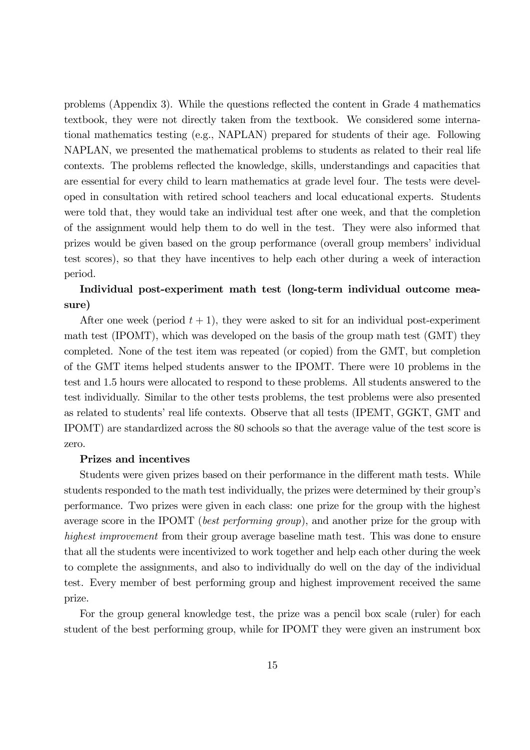problems (Appendix 3). While the questions reflected the content in Grade 4 mathematics textbook, they were not directly taken from the textbook. We considered some international mathematics testing (e.g., NAPLAN) prepared for students of their age. Following NAPLAN, we presented the mathematical problems to students as related to their real life contexts. The problems reflected the knowledge, skills, understandings and capacities that are essential for every child to learn mathematics at grade level four. The tests were developed in consultation with retired school teachers and local educational experts. Students were told that, they would take an individual test after one week, and that the completion of the assignment would help them to do well in the test. They were also informed that prizes would be given based on the group performance (overall group members' individual test scores), so that they have incentives to help each other during a week of interaction period.

## Individual post-experiment math test (long-term individual outcome measure)

After one week (period  $t + 1$ ), they were asked to sit for an individual post-experiment math test (IPOMT), which was developed on the basis of the group math test (GMT) they completed. None of the test item was repeated (or copied) from the GMT, but completion of the GMT items helped students answer to the IPOMT. There were 10 problems in the test and 1.5 hours were allocated to respond to these problems. All students answered to the test individually. Similar to the other tests problems, the test problems were also presented as related to students' real life contexts. Observe that all tests (IPEMT, GGKT, GMT and IPOMT) are standardized across the 80 schools so that the average value of the test score is zero.

#### Prizes and incentives

Students were given prizes based on their performance in the different math tests. While students responded to the math test individually, the prizes were determined by their group's performance. Two prizes were given in each class: one prize for the group with the highest average score in the IPOMT (best performing group), and another prize for the group with highest improvement from their group average baseline math test. This was done to ensure that all the students were incentivized to work together and help each other during the week to complete the assignments, and also to individually do well on the day of the individual test. Every member of best performing group and highest improvement received the same prize.

For the group general knowledge test, the prize was a pencil box scale (ruler) for each student of the best performing group, while for IPOMT they were given an instrument box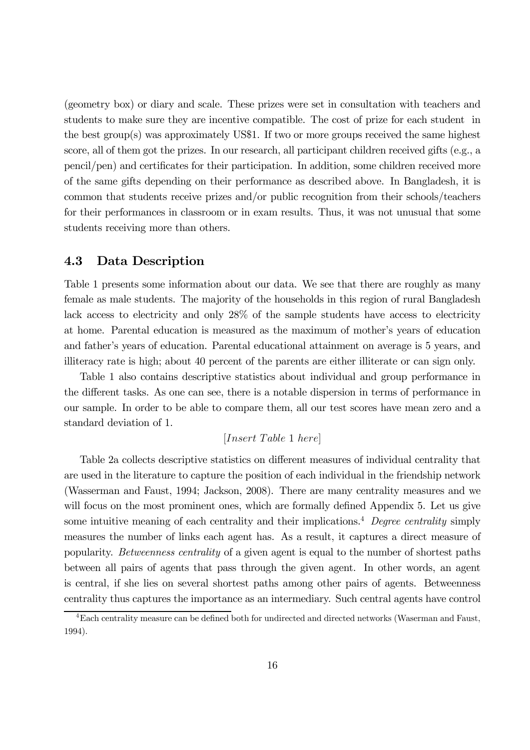(geometry box) or diary and scale. These prizes were set in consultation with teachers and students to make sure they are incentive compatible. The cost of prize for each student in the best group(s) was approximately US\$1. If two or more groups received the same highest score, all of them got the prizes. In our research, all participant children received gifts (e.g., a pencil/pen) and certificates for their participation. In addition, some children received more of the same gifts depending on their performance as described above. In Bangladesh, it is common that students receive prizes and/or public recognition from their schools/teachers for their performances in classroom or in exam results. Thus, it was not unusual that some students receiving more than others.

### 4.3 Data Description

Table 1 presents some information about our data. We see that there are roughly as many female as male students. The majority of the households in this region of rural Bangladesh lack access to electricity and only 28% of the sample students have access to electricity at home. Parental education is measured as the maximum of mother's years of education and father's years of education. Parental educational attainment on average is 5 years, and illiteracy rate is high; about 40 percent of the parents are either illiterate or can sign only.

Table 1 also contains descriptive statistics about individual and group performance in the different tasks. As one can see, there is a notable dispersion in terms of performance in our sample. In order to be able to compare them, all our test scores have mean zero and a standard deviation of 1.

## $[Insert\ Table\ 1\ here]$

Table 2a collects descriptive statistics on different measures of individual centrality that are used in the literature to capture the position of each individual in the friendship network (Wasserman and Faust, 1994; Jackson, 2008). There are many centrality measures and we will focus on the most prominent ones, which are formally defined Appendix 5. Let us give some intuitive meaning of each centrality and their implications.<sup>4</sup> Degree centrality simply measures the number of links each agent has. As a result, it captures a direct measure of popularity. Betweenness centrality of a given agent is equal to the number of shortest paths between all pairs of agents that pass through the given agent. In other words, an agent is central, if she lies on several shortest paths among other pairs of agents. Betweenness centrality thus captures the importance as an intermediary. Such central agents have control

<sup>&</sup>lt;sup>4</sup>Each centrality measure can be defined both for undirected and directed networks (Waserman and Faust, 1994).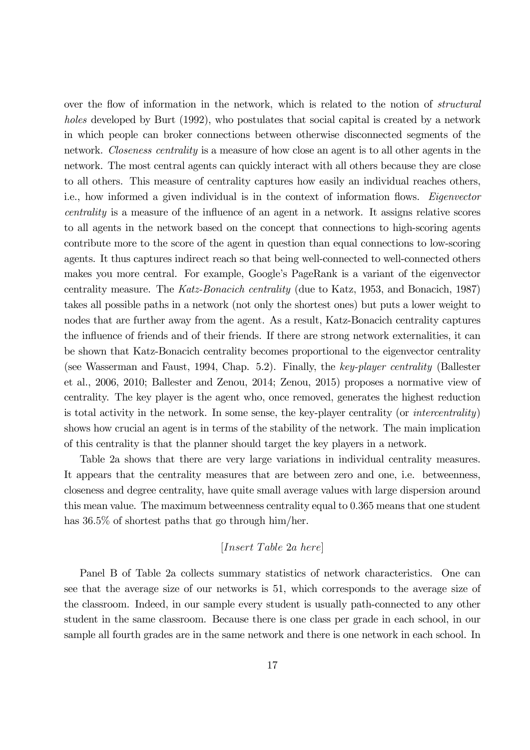over the flow of information in the network, which is related to the notion of structural holes developed by Burt (1992), who postulates that social capital is created by a network in which people can broker connections between otherwise disconnected segments of the network. Closeness centrality is a measure of how close an agent is to all other agents in the network. The most central agents can quickly interact with all others because they are close to all others. This measure of centrality captures how easily an individual reaches others, i.e., how informed a given individual is in the context of information flows. *Eigenvector* centrality is a measure of the influence of an agent in a network. It assigns relative scores to all agents in the network based on the concept that connections to high-scoring agents contribute more to the score of the agent in question than equal connections to low-scoring agents. It thus captures indirect reach so that being well-connected to well-connected others makes you more central. For example, Google's PageRank is a variant of the eigenvector centrality measure. The Katz-Bonacich centrality (due to Katz, 1953, and Bonacich, 1987) takes all possible paths in a network (not only the shortest ones) but puts a lower weight to nodes that are further away from the agent. As a result, Katz-Bonacich centrality captures the influence of friends and of their friends. If there are strong network externalities, it can be shown that Katz-Bonacich centrality becomes proportional to the eigenvector centrality (see Wasserman and Faust, 1994, Chap. 5.2). Finally, the key-player centrality (Ballester et al., 2006, 2010; Ballester and Zenou, 2014; Zenou, 2015) proposes a normative view of centrality. The key player is the agent who, once removed, generates the highest reduction is total activity in the network. In some sense, the key-player centrality (or intercentrality) shows how crucial an agent is in terms of the stability of the network. The main implication of this centrality is that the planner should target the key players in a network.

Table 2a shows that there are very large variations in individual centrality measures. It appears that the centrality measures that are between zero and one, i.e. betweenness, closeness and degree centrality, have quite small average values with large dispersion around this mean value. The maximum betweenness centrality equal to 0365 means that one student has  $36.5\%$  of shortest paths that go through him/her.

### $[Insert\ Table\ 2a\ here]$

Panel B of Table 2a collects summary statistics of network characteristics. One can see that the average size of our networks is 51, which corresponds to the average size of the classroom. Indeed, in our sample every student is usually path-connected to any other student in the same classroom. Because there is one class per grade in each school, in our sample all fourth grades are in the same network and there is one network in each school. In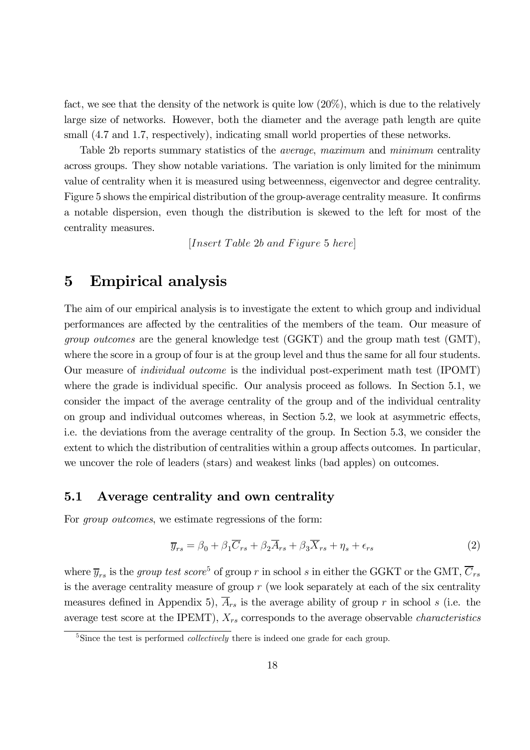fact, we see that the density of the network is quite low  $(20\%)$ , which is due to the relatively large size of networks. However, both the diameter and the average path length are quite small  $(4.7 \text{ and } 1.7,$  respectively), indicating small world properties of these networks.

Table 2b reports summary statistics of the average, maximum and minimum centrality across groups. They show notable variations. The variation is only limited for the minimum value of centrality when it is measured using betweenness, eigenvector and degree centrality. Figure 5 shows the empirical distribution of the group-average centrality measure. It confirms a notable dispersion, even though the distribution is skewed to the left for most of the centrality measures.

 $[Insert\ Table\ 2b\ and\ Figure\ 5\ here]$ 

## 5 Empirical analysis

The aim of our empirical analysis is to investigate the extent to which group and individual performances are affected by the centralities of the members of the team. Our measure of group outcomes are the general knowledge test (GGKT) and the group math test (GMT), where the score in a group of four is at the group level and thus the same for all four students. Our measure of individual outcome is the individual post-experiment math test (IPOMT) where the grade is individual specific. Our analysis proceed as follows. In Section 5.1, we consider the impact of the average centrality of the group and of the individual centrality on group and individual outcomes whereas, in Section 5.2, we look at asymmetric effects, i.e. the deviations from the average centrality of the group. In Section 5.3, we consider the extent to which the distribution of centralities within a group affects outcomes. In particular, we uncover the role of leaders (stars) and weakest links (bad apples) on outcomes.

## 5.1 Average centrality and own centrality

For *group outcomes*, we estimate regressions of the form:

$$
\overline{y}_{rs} = \beta_0 + \beta_1 \overline{C}_{rs} + \beta_2 \overline{A}_{rs} + \beta_3 \overline{X}_{rs} + \eta_s + \epsilon_{rs}
$$
\n(2)

where  $\overline{y}_{rs}$  is the group test score<sup>5</sup> of group r in school s in either the GGKT or the GMT,  $\overline{C}_{rs}$ is the average centrality measure of group  $r$  (we look separately at each of the six centrality measures defined in Appendix 5),  $\overline{A}_{rs}$  is the average ability of group r in school s (i.e. the average test score at the IPEMT),  $X_{rs}$  corresponds to the average observable *characteristics* 

 $5Sinee$  the test is performed *collectively* there is indeed one grade for each group.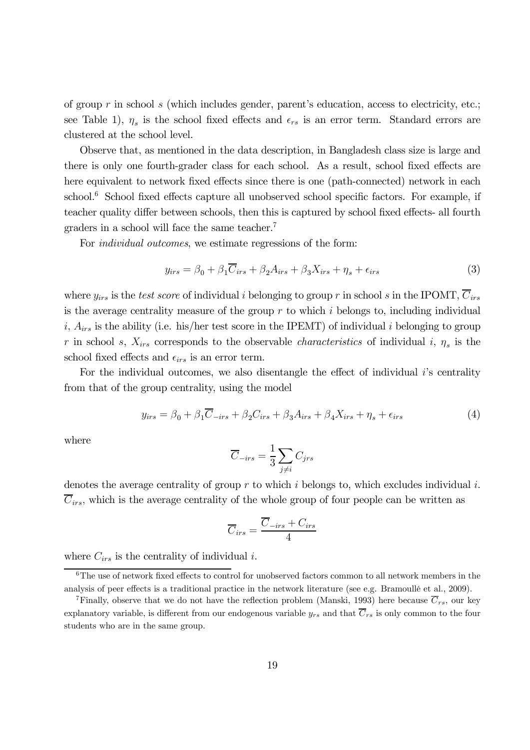of group  $r$  in school  $s$  (which includes gender, parent's education, access to electricity, etc.; see Table 1),  $\eta_s$  is the school fixed effects and  $\epsilon_{rs}$  is an error term. Standard errors are clustered at the school level.

Observe that, as mentioned in the data description, in Bangladesh class size is large and there is only one fourth-grader class for each school. As a result, school fixed effects are here equivalent to network fixed effects since there is one (path-connected) network in each school. $6$  School fixed effects capture all unobserved school specific factors. For example, if teacher quality differ between schools, then this is captured by school fixed effects- all fourth graders in a school will face the same teacher.7

For individual outcomes, we estimate regressions of the form:

$$
y_{irs} = \beta_0 + \beta_1 \overline{C}_{irs} + \beta_2 A_{irs} + \beta_3 X_{irs} + \eta_s + \epsilon_{irs}
$$
 (3)

where  $y_{irs}$  is the test score of individual *i* belonging to group r in school *s* in the IPOMT,  $\overline{C}_{irs}$ is the average centrality measure of the group  $r$  to which  $i$  belongs to, including individual  $i, A_{irs}$  is the ability (i.e. his/her test score in the IPEMT) of individual i belonging to group r in school s,  $X_{irs}$  corresponds to the observable *characteristics* of individual i,  $\eta_s$  is the school fixed effects and  $\epsilon_{irs}$  is an error term.

For the individual outcomes, we also disentangle the effect of individual *i*'s centrality from that of the group centrality, using the model

$$
y_{irs} = \beta_0 + \beta_1 \overline{C}_{-irs} + \beta_2 C_{irs} + \beta_3 A_{irs} + \beta_4 X_{irs} + \eta_s + \epsilon_{irs}
$$
(4)

where

$$
\overline{C}_{-irs} = \frac{1}{3} \sum_{j \neq i} C_{jrs}
$$

denotes the average centrality of group  $r$  to which  $i$  belongs to, which excludes individual  $i$ .  $\overline{C}_{irs}$ , which is the average centrality of the whole group of four people can be written as

$$
\overline{C}_{irs} = \frac{\overline{C}_{-irs} + C_{irs}}{4}
$$

where  $C_{irs}$  is the centrality of individual *i*.

 ${}^{6}$ The use of network fixed effects to control for unobserved factors common to all network members in the analysis of peer effects is a traditional practice in the network literature (see e.g. Bramoullé et al., 2009).

<sup>&</sup>lt;sup>7</sup>Finally, observe that we do not have the reflection problem (Manski, 1993) here because  $\overline{C}_{rs}$ , our key explanatory variable, is different from our endogenous variable  $y_{rs}$  and that  $\overline{C}_{rs}$  is only common to the four students who are in the same group.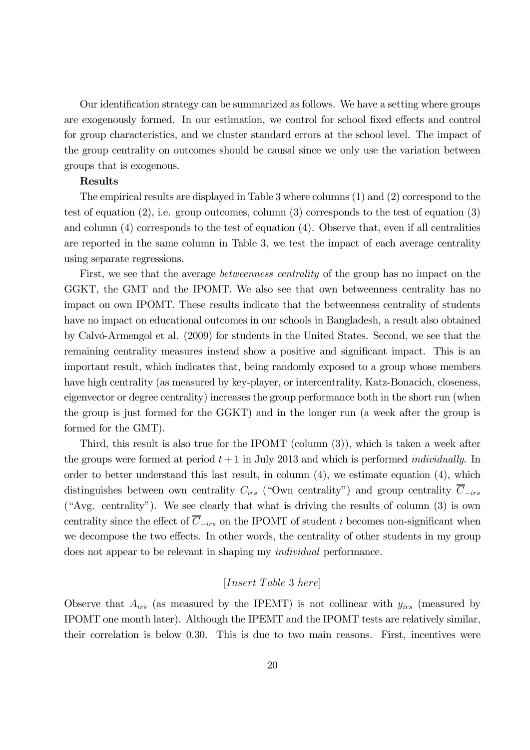Our identification strategy can be summarized as follows. We have a setting where groups are exogenously formed. In our estimation, we control for school fixed effects and control for group characteristics, and we cluster standard errors at the school level. The impact of the group centrality on outcomes should be causal since we only use the variation between groups that is exogenous.

#### Results

The empirical results are displayed in Table 3 where columns (1) and (2) correspond to the test of equation  $(2)$ , i.e. group outcomes, column  $(3)$  corresponds to the test of equation  $(3)$ and column (4) corresponds to the test of equation (4). Observe that, even if all centralities are reported in the same column in Table 3, we test the impact of each average centrality using separate regressions.

First, we see that the average *betweenness centrality* of the group has no impact on the GGKT, the GMT and the IPOMT. We also see that own betweenness centrality has no impact on own IPOMT. These results indicate that the betweenness centrality of students have no impact on educational outcomes in our schools in Bangladesh, a result also obtained by Calvó-Armengol et al. (2009) for students in the United States. Second, we see that the remaining centrality measures instead show a positive and significant impact. This is an important result, which indicates that, being randomly exposed to a group whose members have high centrality (as measured by key-player, or intercentrality, Katz-Bonacich, closeness, eigenvector or degree centrality) increases the group performance both in the short run (when the group is just formed for the GGKT) and in the longer run (a week after the group is formed for the GMT).

Third, this result is also true for the IPOMT (column (3)), which is taken a week after the groups were formed at period  $t + 1$  in July 2013 and which is performed *individually*. In order to better understand this last result, in column (4), we estimate equation (4), which distinguishes between own centrality  $C_{irs}$  ("Own centrality") and group centrality  $\overline{C}_{-irs}$ ("Avg. centrality"). We see clearly that what is driving the results of column (3) is own centrality since the effect of  $\overline{C}_{-irs}$  on the IPOMT of student *i* becomes non-significant when we decompose the two effects. In other words, the centrality of other students in my group does not appear to be relevant in shaping my individual performance.

### $[Insert\ Table\ 3\ here]$

Observe that  $A_{irs}$  (as measured by the IPEMT) is not collinear with  $y_{irs}$  (measured by IPOMT one month later). Although the IPEMT and the IPOMT tests are relatively similar, their correlation is below 0.30. This is due to two main reasons. First, incentives were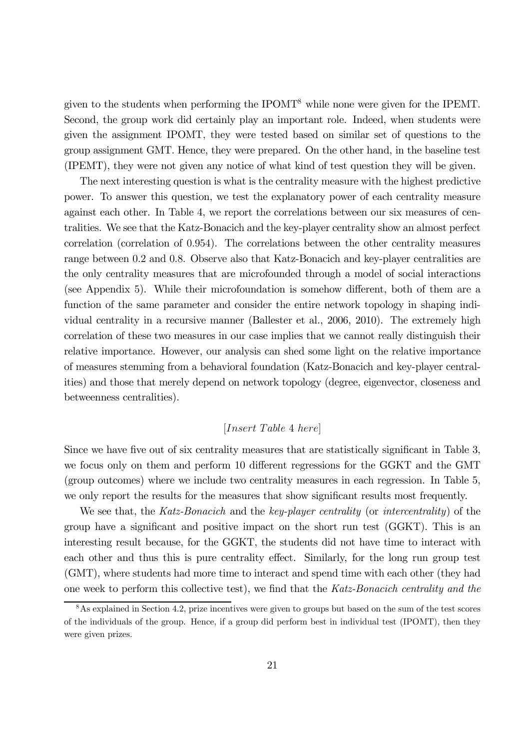given to the students when performing the IPOMT8 while none were given for the IPEMT. Second, the group work did certainly play an important role. Indeed, when students were given the assignment IPOMT, they were tested based on similar set of questions to the group assignment GMT. Hence, they were prepared. On the other hand, in the baseline test (IPEMT), they were not given any notice of what kind of test question they will be given.

The next interesting question is what is the centrality measure with the highest predictive power. To answer this question, we test the explanatory power of each centrality measure against each other. In Table 4, we report the correlations between our six measures of centralities. We see that the Katz-Bonacich and the key-player centrality show an almost perfect correlation (correlation of 0.954). The correlations between the other centrality measures range between 0.2 and 0.8. Observe also that Katz-Bonacich and key-player centralities are the only centrality measures that are microfounded through a model of social interactions (see Appendix 5). While their microfoundation is somehow different, both of them are a function of the same parameter and consider the entire network topology in shaping individual centrality in a recursive manner (Ballester et al., 2006, 2010). The extremely high correlation of these two measures in our case implies that we cannot really distinguish their relative importance. However, our analysis can shed some light on the relative importance of measures stemming from a behavioral foundation (Katz-Bonacich and key-player centralities) and those that merely depend on network topology (degree, eigenvector, closeness and betweenness centralities).

## $[Insert\ Table\ 4\ here]$

Since we have five out of six centrality measures that are statistically significant in Table 3, we focus only on them and perform 10 different regressions for the GGKT and the GMT (group outcomes) where we include two centrality measures in each regression. In Table 5, we only report the results for the measures that show significant results most frequently.

We see that, the Katz-Bonacich and the key-player centrality (or intercentrality) of the group have a significant and positive impact on the short run test (GGKT). This is an interesting result because, for the GGKT, the students did not have time to interact with each other and thus this is pure centrality effect. Similarly, for the long run group test (GMT), where students had more time to interact and spend time with each other (they had one week to perform this collective test), we find that the Katz-Bonacich centrality and the

<sup>&</sup>lt;sup>8</sup>As explained in Section 4.2, prize incentives were given to groups but based on the sum of the test scores of the individuals of the group. Hence, if a group did perform best in individual test (IPOMT), then they were given prizes.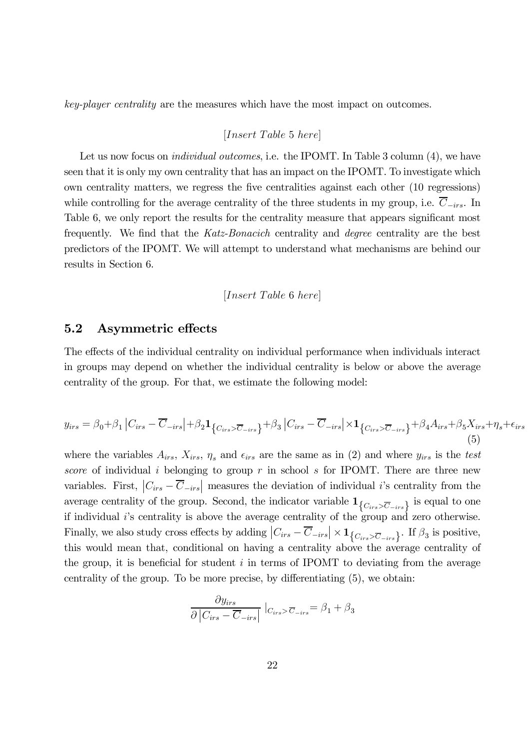key-player centrality are the measures which have the most impact on outcomes.

### $[Insert\ Table\ 5\ here]$

Let us now focus on *individual outcomes*, i.e. the IPOMT. In Table 3 column (4), we have seen that it is only my own centrality that has an impact on the IPOMT. To investigate which own centrality matters, we regress the five centralities against each other (10 regressions) while controlling for the average centrality of the three students in my group, i.e.  $\overline{C}_{-irs}$ . In Table 6, we only report the results for the centrality measure that appears significant most frequently. We find that the Katz-Bonacich centrality and degree centrality are the best predictors of the IPOMT. We will attempt to understand what mechanisms are behind our results in Section 6.

$$
[Insert\ Table\ 6\ here]
$$

## 5.2 Asymmetric effects

The effects of the individual centrality on individual performance when individuals interact in groups may depend on whether the individual centrality is below or above the average centrality of the group. For that, we estimate the following model:

$$
y_{irs} = \beta_0 + \beta_1 \left| C_{irs} - \overline{C}_{-irs} \right| + \beta_2 \mathbf{1}_{\left\{ C_{irs} > \overline{C}_{-irs} \right\}} + \beta_3 \left| C_{irs} - \overline{C}_{-irs} \right| \times \mathbf{1}_{\left\{ C_{irs} > \overline{C}_{-irs} \right\}} + \beta_4 A_{irs} + \beta_5 X_{irs} + \eta_s + \epsilon_{irs} \tag{5}
$$

where the variables  $A_{irs}$ ,  $X_{irs}$ ,  $\eta_s$  and  $\epsilon_{irs}$  are the same as in (2) and where  $y_{irs}$  is the test score of individual *i* belonging to group  $r$  in school  $s$  for IPOMT. There are three new variables. First,  $|C_{irs} - \overline{C}_{-irs}|$  measures the deviation of individual *i*'s centrality from the average centrality of the group. Second, the indicator variable  $\mathbf{1}_{\{C_{irs} > \overline{C}_{-irs}\}}$  is equal to one if individual  $i$ 's centrality is above the average centrality of the group and zero otherwise. Finally, we also study cross effects by adding  $|C_{irs} - \overline{C}_{-irs}| \times \mathbf{1}_{\{C_{irs} > \overline{C}_{-irs}\}}$ . If  $\beta_3$  is positive, this would mean that, conditional on having a centrality above the average centrality of the group, it is beneficial for student  $i$  in terms of IPOMT to deviating from the average centrality of the group. To be more precise, by differentiating (5), we obtain:

$$
\frac{\partial y_{irs}}{\partial |C_{irs} - \overline{C}_{-irs}|} |_{C_{irs} > \overline{C}_{-irs}} = \beta_1 + \beta_3
$$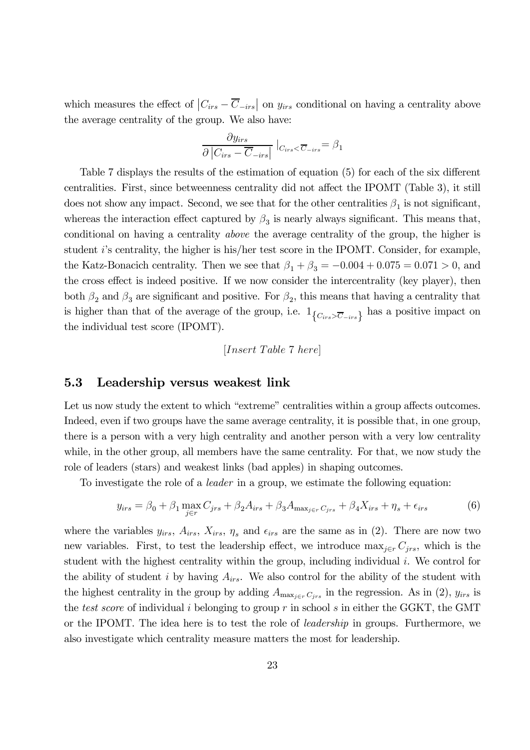which measures the effect of  $|C_{irs} - \overline{C}_{-irs}|$  on  $y_{irs}$  conditional on having a centrality above the average centrality of the group. We also have:

$$
\frac{\partial y_{irs}}{\partial |C_{irs} - \overline{C}_{-irs}|} |_{C_{irs} < \overline{C}_{-irs}} = \beta_1
$$

Table 7 displays the results of the estimation of equation (5) for each of the six different centralities. First, since betweenness centrality did not affect the IPOMT (Table 3), it still does not show any impact. Second, we see that for the other centralities  $\beta_1$  is not significant, whereas the interaction effect captured by  $\beta_3$  is nearly always significant. This means that, conditional on having a centrality above the average centrality of the group, the higher is student i's centrality, the higher is his/her test score in the IPOMT. Consider, for example, the Katz-Bonacich centrality. Then we see that  $\beta_1 + \beta_3 = -0.004 + 0.075 = 0.071 > 0$ , and the cross effect is indeed positive. If we now consider the intercentrality (key player), then both  $\beta_2$  and  $\beta_3$  are significant and positive. For  $\beta_2$ , this means that having a centrality that is higher than that of the average of the group, i.e.  $1_{\{C_{irs} > \overline{C}_{-irs}\}}$  has a positive impact on the individual test score (IPOMT).

$$
[Insert\ Table\ 7\ here]
$$

### 5.3 Leadership versus weakest link

Let us now study the extent to which "extreme" centralities within a group affects outcomes. Indeed, even if two groups have the same average centrality, it is possible that, in one group, there is a person with a very high centrality and another person with a very low centrality while, in the other group, all members have the same centrality. For that, we now study the role of leaders (stars) and weakest links (bad apples) in shaping outcomes.

To investigate the role of a leader in a group, we estimate the following equation:

$$
y_{irs} = \beta_0 + \beta_1 \max_{j \in r} C_{jrs} + \beta_2 A_{irs} + \beta_3 A_{\max_{j \in r} C_{jrs}} + \beta_4 X_{irs} + \eta_s + \epsilon_{irs}
$$
(6)

where the variables  $y_{irs}$ ,  $A_{irs}$ ,  $X_{irs}$ ,  $\eta_s$  and  $\epsilon_{irs}$  are the same as in (2). There are now two new variables. First, to test the leadership effect, we introduce  $\max_{j \in r} C_{jrs}$ , which is the student with the highest centrality within the group, including individual  $i$ . We control for the ability of student  $i$  by having  $A_{irs}$ . We also control for the ability of the student with the highest centrality in the group by adding  $A_{\max_{j \in r} C_{jrs}}$  in the regression. As in (2),  $y_{irs}$  is the test score of individual  $i$  belonging to group  $r$  in school  $s$  in either the GGKT, the GMT or the IPOMT. The idea here is to test the role of leadership in groups. Furthermore, we also investigate which centrality measure matters the most for leadership.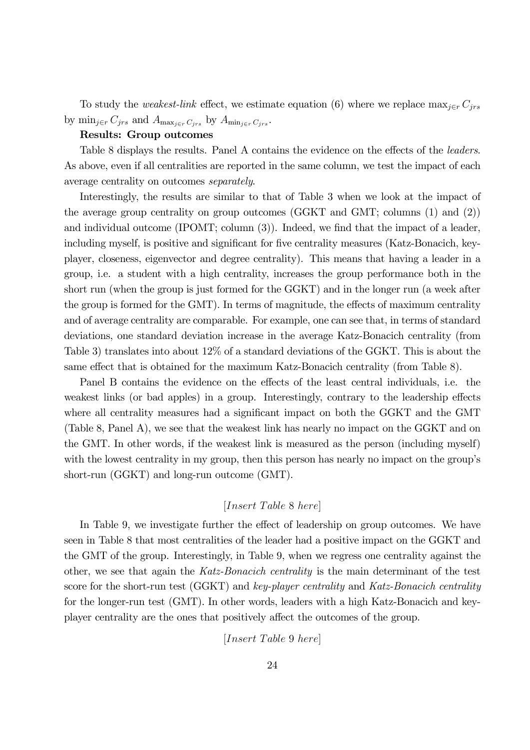To study the *weakest-link* effect, we estimate equation (6) where we replace  $\max_{j \in r} C_{jrs}$ by  $\min_{j \in r} C_{jrs}$  and  $A_{\max_{j \in r} C_{irs}}$  by  $A_{\min_{j \in r} C_{irs}}$ .

#### Results: Group outcomes

Table 8 displays the results. Panel A contains the evidence on the effects of the *leaders*. As above, even if all centralities are reported in the same column, we test the impact of each average centrality on outcomes separately.

Interestingly, the results are similar to that of Table 3 when we look at the impact of the average group centrality on group outcomes (GGKT and GMT; columns (1) and (2)) and individual outcome (IPOMT; column (3)). Indeed, we find that the impact of a leader, including myself, is positive and significant for five centrality measures (Katz-Bonacich, keyplayer, closeness, eigenvector and degree centrality). This means that having a leader in a group, i.e. a student with a high centrality, increases the group performance both in the short run (when the group is just formed for the GGKT) and in the longer run (a week after the group is formed for the GMT). In terms of magnitude, the effects of maximum centrality and of average centrality are comparable. For example, one can see that, in terms of standard deviations, one standard deviation increase in the average Katz-Bonacich centrality (from Table 3) translates into about 12% of a standard deviations of the GGKT. This is about the same effect that is obtained for the maximum Katz-Bonacich centrality (from Table 8).

Panel B contains the evidence on the effects of the least central individuals, i.e. the weakest links (or bad apples) in a group. Interestingly, contrary to the leadership effects where all centrality measures had a significant impact on both the GGKT and the GMT (Table 8, Panel A), we see that the weakest link has nearly no impact on the GGKT and on the GMT. In other words, if the weakest link is measured as the person (including myself) with the lowest centrality in my group, then this person has nearly no impact on the group's short-run (GGKT) and long-run outcome (GMT).

### $[Insert\ Table\ 8\ here]$

In Table 9, we investigate further the effect of leadership on group outcomes. We have seen in Table 8 that most centralities of the leader had a positive impact on the GGKT and the GMT of the group. Interestingly, in Table 9, when we regress one centrality against the other, we see that again the Katz-Bonacich centrality is the main determinant of the test score for the short-run test (GGKT) and key-player centrality and Katz-Bonacich centrality for the longer-run test (GMT). In other words, leaders with a high Katz-Bonacich and keyplayer centrality are the ones that positively affect the outcomes of the group.

 $[Insert\ Table\ 9\ here]$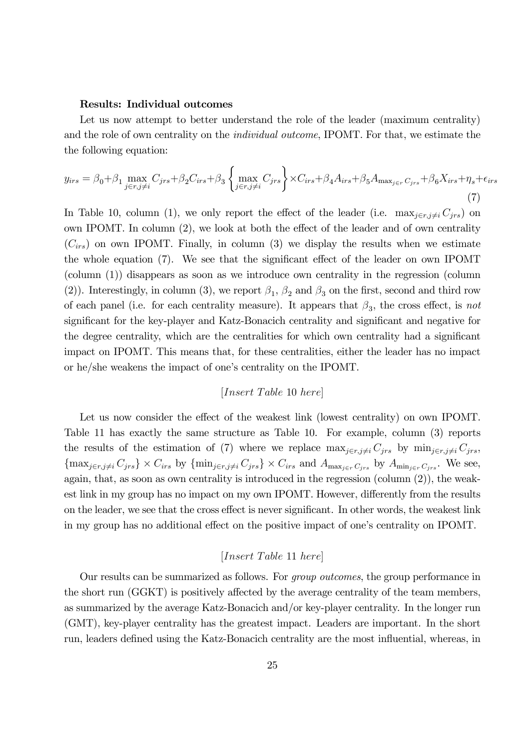#### Results: Individual outcomes

Let us now attempt to better understand the role of the leader (maximum centrality) and the role of own centrality on the individual outcome, IPOMT. For that, we estimate the the following equation:

$$
y_{irs} = \beta_0 + \beta_1 \max_{j \in r, j \neq i} C_{jrs} + \beta_2 C_{irs} + \beta_3 \left\{ \max_{j \in r, j \neq i} C_{jrs} \right\} \times C_{irs} + \beta_4 A_{irs} + \beta_5 A_{\max_{j \in r} C_{jrs}} + \beta_6 X_{irs} + \eta_s + \epsilon_{irs}
$$
\n
$$
\tag{7}
$$

In Table 10, column (1), we only report the effect of the leader (i.e.  $\max_{j \in r, j \neq i} C_{jrs}$ ) on own IPOMT. In column (2), we look at both the effect of the leader and of own centrality  $(C_{irs})$  on own IPOMT. Finally, in column (3) we display the results when we estimate the whole equation (7). We see that the significant effect of the leader on own IPOMT (column (1)) disappears as soon as we introduce own centrality in the regression (column (2)). Interestingly, in column (3), we report  $\beta_1$ ,  $\beta_2$  and  $\beta_3$  on the first, second and third row of each panel (i.e. for each centrality measure). It appears that  $\beta_3$ , the cross effect, is not significant for the key-player and Katz-Bonacich centrality and significant and negative for the degree centrality, which are the centralities for which own centrality had a significant impact on IPOMT. This means that, for these centralities, either the leader has no impact or he/she weakens the impact of one's centrality on the IPOMT.

$$
[Insert\ Table\ 10\ here]
$$

Let us now consider the effect of the weakest link (lowest centrality) on own IPOMT. Table 11 has exactly the same structure as Table 10. For example, column (3) reports the results of the estimation of (7) where we replace  $\max_{j \in r, j \neq i} C_{jrs}$  by  $\min_{j \in r, j \neq i} C_{jrs}$ ,  ${\max_{j \in r, j \neq i} C_{jrs}} \times C_{irs}$  by  ${\min_{j \in r, j \neq i} C_{jrs}} \times C_{irs}$  and  $A_{\max_{j \in r} C_{jrs}}$  by  $A_{\min_{j \in r} C_{jrs}}$ . We see, again, that, as soon as own centrality is introduced in the regression (column (2)), the weakest link in my group has no impact on my own IPOMT. However, differently from the results on the leader, we see that the cross effect is never significant. In other words, the weakest link in my group has no additional effect on the positive impact of one's centrality on IPOMT.

### $[Insert\ Table\ 11\ here]$

Our results can be summarized as follows. For group outcomes, the group performance in the short run (GGKT) is positively affected by the average centrality of the team members, as summarized by the average Katz-Bonacich and/or key-player centrality. In the longer run (GMT), key-player centrality has the greatest impact. Leaders are important. In the short run, leaders defined using the Katz-Bonacich centrality are the most influential, whereas, in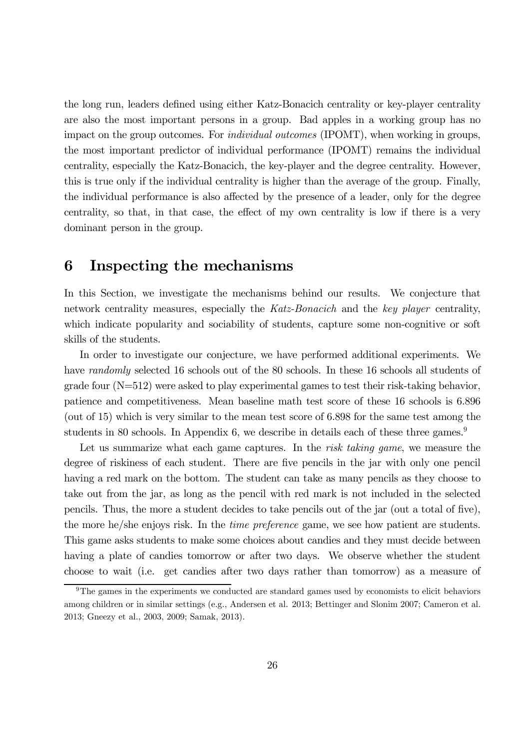the long run, leaders defined using either Katz-Bonacich centrality or key-player centrality are also the most important persons in a group. Bad apples in a working group has no impact on the group outcomes. For individual outcomes (IPOMT), when working in groups, the most important predictor of individual performance (IPOMT) remains the individual centrality, especially the Katz-Bonacich, the key-player and the degree centrality. However, this is true only if the individual centrality is higher than the average of the group. Finally, the individual performance is also affected by the presence of a leader, only for the degree centrality, so that, in that case, the effect of my own centrality is low if there is a very dominant person in the group.

## 6 Inspecting the mechanisms

In this Section, we investigate the mechanisms behind our results. We conjecture that network centrality measures, especially the Katz-Bonacich and the key player centrality, which indicate popularity and sociability of students, capture some non-cognitive or soft skills of the students.

In order to investigate our conjecture, we have performed additional experiments. We have *randomly* selected 16 schools out of the 80 schools. In these 16 schools all students of grade four (N=512) were asked to play experimental games to test their risk-taking behavior, patience and competitiveness. Mean baseline math test score of these 16 schools is 6.896 (out of 15) which is very similar to the mean test score of 6.898 for the same test among the students in 80 schools. In Appendix 6, we describe in details each of these three games.<sup>9</sup>

Let us summarize what each game captures. In the risk taking game, we measure the degree of riskiness of each student. There are five pencils in the jar with only one pencil having a red mark on the bottom. The student can take as many pencils as they choose to take out from the jar, as long as the pencil with red mark is not included in the selected pencils. Thus, the more a student decides to take pencils out of the jar (out a total of five), the more he/she enjoys risk. In the time preference game, we see how patient are students. This game asks students to make some choices about candies and they must decide between having a plate of candies tomorrow or after two days. We observe whether the student choose to wait (i.e. get candies after two days rather than tomorrow) as a measure of

<sup>&</sup>lt;sup>9</sup>The games in the experiments we conducted are standard games used by economists to elicit behaviors among children or in similar settings (e.g., Andersen et al. 2013; Bettinger and Slonim 2007; Cameron et al. 2013; Gneezy et al., 2003, 2009; Samak, 2013).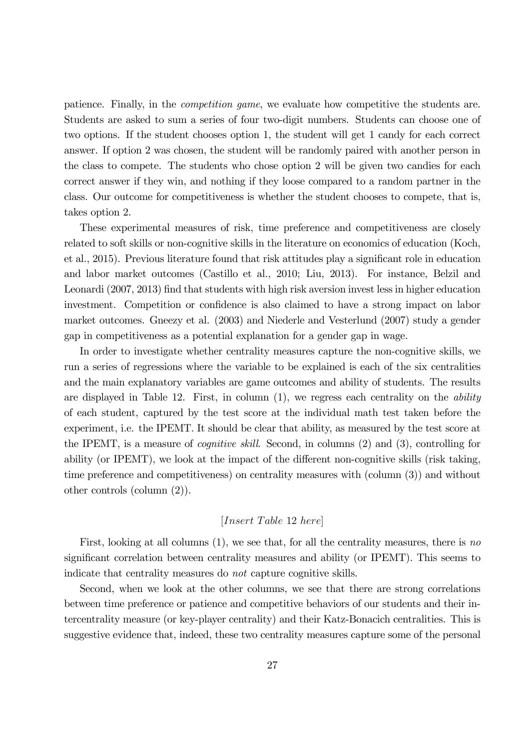patience. Finally, in the competition game, we evaluate how competitive the students are. Students are asked to sum a series of four two-digit numbers. Students can choose one of two options. If the student chooses option 1, the student will get 1 candy for each correct answer. If option 2 was chosen, the student will be randomly paired with another person in the class to compete. The students who chose option 2 will be given two candies for each correct answer if they win, and nothing if they loose compared to a random partner in the class. Our outcome for competitiveness is whether the student chooses to compete, that is, takes option 2.

These experimental measures of risk, time preference and competitiveness are closely related to soft skills or non-cognitive skills in the literature on economics of education (Koch, et al., 2015). Previous literature found that risk attitudes play a significant role in education and labor market outcomes (Castillo et al., 2010; Liu, 2013). For instance, Belzil and Leonardi (2007, 2013) find that students with high risk aversion invest less in higher education investment. Competition or confidence is also claimed to have a strong impact on labor market outcomes. Gneezy et al. (2003) and Niederle and Vesterlund (2007) study a gender gap in competitiveness as a potential explanation for a gender gap in wage.

In order to investigate whether centrality measures capture the non-cognitive skills, we run a series of regressions where the variable to be explained is each of the six centralities and the main explanatory variables are game outcomes and ability of students. The results are displayed in Table 12. First, in column  $(1)$ , we regress each centrality on the *ability* of each student, captured by the test score at the individual math test taken before the experiment, i.e. the IPEMT. It should be clear that ability, as measured by the test score at the IPEMT, is a measure of cognitive skill. Second, in columns (2) and (3), controlling for ability (or IPEMT), we look at the impact of the different non-cognitive skills (risk taking, time preference and competitiveness) on centrality measures with (column (3)) and without other controls (column (2)).

## $[Insert\ Table\ 12\ here]$

First, looking at all columns  $(1)$ , we see that, for all the centrality measures, there is no significant correlation between centrality measures and ability (or IPEMT). This seems to indicate that centrality measures do not capture cognitive skills.

Second, when we look at the other columns, we see that there are strong correlations between time preference or patience and competitive behaviors of our students and their intercentrality measure (or key-player centrality) and their Katz-Bonacich centralities. This is suggestive evidence that, indeed, these two centrality measures capture some of the personal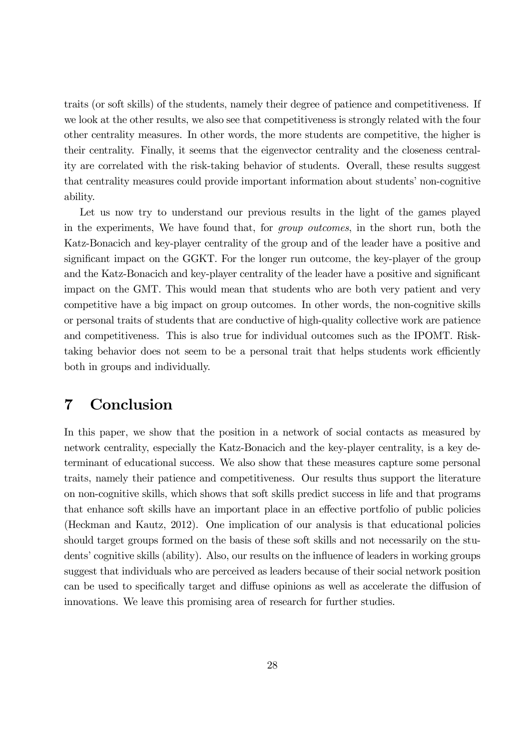traits (or soft skills) of the students, namely their degree of patience and competitiveness. If we look at the other results, we also see that competitiveness is strongly related with the four other centrality measures. In other words, the more students are competitive, the higher is their centrality. Finally, it seems that the eigenvector centrality and the closeness centrality are correlated with the risk-taking behavior of students. Overall, these results suggest that centrality measures could provide important information about students' non-cognitive ability.

Let us now try to understand our previous results in the light of the games played in the experiments, We have found that, for group outcomes, in the short run, both the Katz-Bonacich and key-player centrality of the group and of the leader have a positive and significant impact on the GGKT. For the longer run outcome, the key-player of the group and the Katz-Bonacich and key-player centrality of the leader have a positive and significant impact on the GMT. This would mean that students who are both very patient and very competitive have a big impact on group outcomes. In other words, the non-cognitive skills or personal traits of students that are conductive of high-quality collective work are patience and competitiveness. This is also true for individual outcomes such as the IPOMT. Risktaking behavior does not seem to be a personal trait that helps students work efficiently both in groups and individually.

## 7 Conclusion

In this paper, we show that the position in a network of social contacts as measured by network centrality, especially the Katz-Bonacich and the key-player centrality, is a key determinant of educational success. We also show that these measures capture some personal traits, namely their patience and competitiveness. Our results thus support the literature on non-cognitive skills, which shows that soft skills predict success in life and that programs that enhance soft skills have an important place in an effective portfolio of public policies (Heckman and Kautz, 2012). One implication of our analysis is that educational policies should target groups formed on the basis of these soft skills and not necessarily on the students' cognitive skills (ability). Also, our results on the influence of leaders in working groups suggest that individuals who are perceived as leaders because of their social network position can be used to specifically target and diffuse opinions as well as accelerate the diffusion of innovations. We leave this promising area of research for further studies.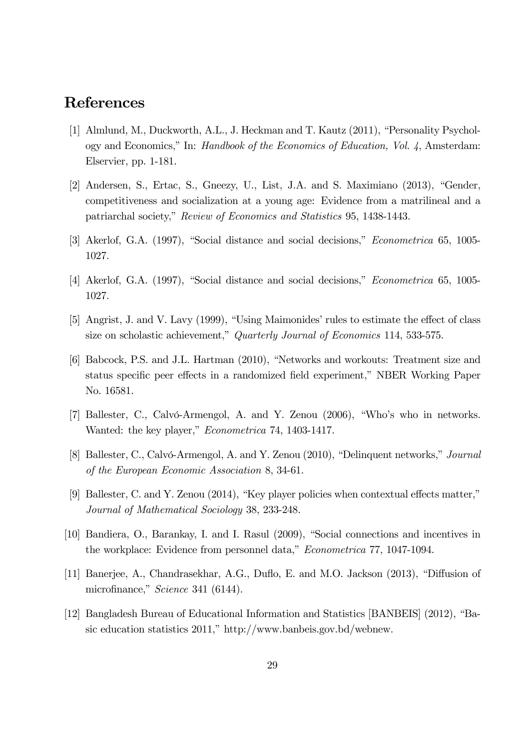## References

- [1] Almlund, M., Duckworth, A.L., J. Heckman and T. Kautz (2011), "Personality Psychology and Economics," In: Handbook of the Economics of Education, Vol. 4, Amsterdam: Elservier, pp. 1-181.
- [2] Andersen, S., Ertac, S., Gneezy, U., List, J.A. and S. Maximiano (2013), "Gender, competitiveness and socialization at a young age: Evidence from a matrilineal and a patriarchal society," Review of Economics and Statistics 95, 1438-1443.
- [3] Akerlof, G.A. (1997), "Social distance and social decisions," Econometrica 65, 1005- 1027.
- [4] Akerlof, G.A. (1997), "Social distance and social decisions," Econometrica 65, 1005- 1027.
- [5] Angrist, J. and V. Lavy (1999), "Using Maimonides' rules to estimate the effect of class size on scholastic achievement," Quarterly Journal of Economics 114, 533-575.
- [6] Babcock, P.S. and J.L. Hartman (2010), "Networks and workouts: Treatment size and status specific peer effects in a randomized field experiment," NBER Working Paper No. 16581.
- [7] Ballester, C., Calvó-Armengol, A. and Y. Zenou (2006), "Who's who in networks. Wanted: the key player," Econometrica 74, 1403-1417.
- [8] Ballester, C., Calvó-Armengol, A. and Y. Zenou (2010), "Delinquent networks," Journal of the European Economic Association 8, 34-61.
- [9] Ballester, C. and Y. Zenou (2014), "Key player policies when contextual effects matter," Journal of Mathematical Sociology 38, 233-248.
- [10] Bandiera, O., Barankay, I. and I. Rasul (2009), "Social connections and incentives in the workplace: Evidence from personnel data," Econometrica 77, 1047-1094.
- [11] Banerjee, A., Chandrasekhar, A.G., Duflo, E. and M.O. Jackson (2013), "Diffusion of microfinance," Science 341 (6144).
- [12] Bangladesh Bureau of Educational Information and Statistics [BANBEIS] (2012), "Basic education statistics 2011," http://www.banbeis.gov.bd/webnew.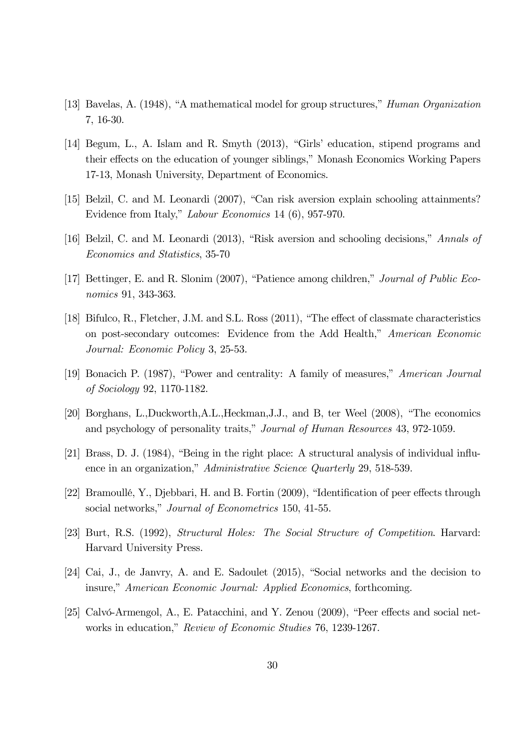- [13] Bavelas, A. (1948), "A mathematical model for group structures," Human Organization 7, 16-30.
- [14] Begum, L., A. Islam and R. Smyth (2013), "Girls' education, stipend programs and their effects on the education of younger siblings," Monash Economics Working Papers 17-13, Monash University, Department of Economics.
- [15] Belzil, C. and M. Leonardi (2007), "Can risk aversion explain schooling attainments? Evidence from Italy," Labour Economics 14 (6), 957-970.
- [16] Belzil, C. and M. Leonardi (2013), "Risk aversion and schooling decisions," Annals of Economics and Statistics, 35-70
- [17] Bettinger, E. and R. Slonim (2007), "Patience among children," Journal of Public Economics 91, 343-363.
- [18] Bifulco, R., Fletcher, J.M. and S.L. Ross (2011), "The effect of classmate characteristics on post-secondary outcomes: Evidence from the Add Health," American Economic Journal: Economic Policy 3, 25-53.
- [19] Bonacich P. (1987), "Power and centrality: A family of measures," American Journal of Sociology 92, 1170-1182.
- [20] Borghans, L.,Duckworth,A.L.,Heckman,J.J., and B, ter Weel (2008), "The economics and psychology of personality traits," Journal of Human Resources 43, 972-1059.
- [21] Brass, D. J. (1984), "Being in the right place: A structural analysis of individual influence in an organization," Administrative Science Quarterly 29, 518-539.
- [22] Bramoullé, Y., Djebbari, H. and B. Fortin (2009), "Identification of peer effects through social networks," Journal of Econometrics 150, 41-55.
- [23] Burt, R.S. (1992), Structural Holes: The Social Structure of Competition. Harvard: Harvard University Press.
- [24] Cai, J., de Janvry, A. and E. Sadoulet (2015), "Social networks and the decision to insure," American Economic Journal: Applied Economics, forthcoming.
- [25] Calvó-Armengol, A., E. Patacchini, and Y. Zenou (2009), "Peer effects and social networks in education," Review of Economic Studies 76, 1239-1267.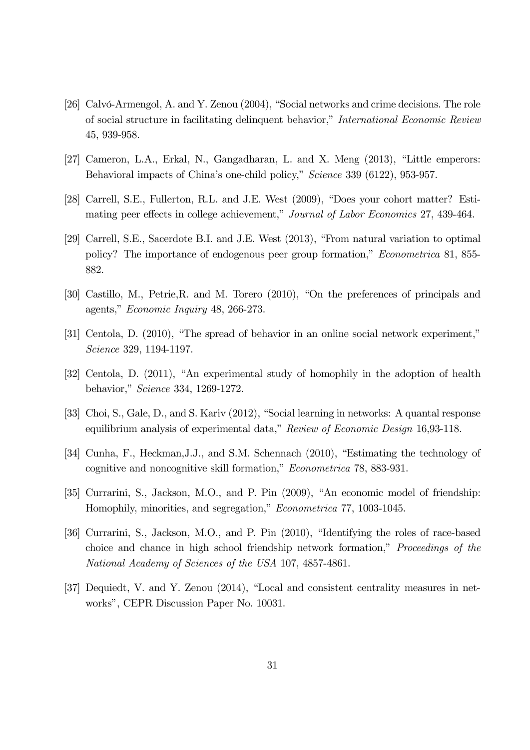- [26] Calvó-Armengol, A. and Y. Zenou (2004), "Social networks and crime decisions. The role of social structure in facilitating delinquent behavior," International Economic Review 45, 939-958.
- [27] Cameron, L.A., Erkal, N., Gangadharan, L. and X. Meng (2013), "Little emperors: Behavioral impacts of China's one-child policy," Science 339 (6122), 953-957.
- [28] Carrell, S.E., Fullerton, R.L. and J.E. West (2009), "Does your cohort matter? Estimating peer effects in college achievement," Journal of Labor Economics 27, 439-464.
- [29] Carrell, S.E., Sacerdote B.I. and J.E. West (2013), "From natural variation to optimal policy? The importance of endogenous peer group formation," Econometrica 81, 855- 882.
- [30] Castillo, M., Petrie,R. and M. Torero (2010), "On the preferences of principals and agents," Economic Inquiry 48, 266-273.
- [31] Centola, D. (2010), "The spread of behavior in an online social network experiment," Science 329, 1194-1197.
- [32] Centola, D. (2011), "An experimental study of homophily in the adoption of health behavior," Science 334, 1269-1272.
- [33] Choi, S., Gale, D., and S. Kariv (2012), "Social learning in networks: A quantal response equilibrium analysis of experimental data," Review of Economic Design 16,93-118.
- [34] Cunha, F., Heckman, J.J., and S.M. Schennach (2010), "Estimating the technology of cognitive and noncognitive skill formation," Econometrica 78, 883-931.
- [35] Currarini, S., Jackson, M.O., and P. Pin (2009), "An economic model of friendship: Homophily, minorities, and segregation," Econometrica 77, 1003-1045.
- [36] Currarini, S., Jackson, M.O., and P. Pin (2010), "Identifying the roles of race-based choice and chance in high school friendship network formation," Proceedings of the National Academy of Sciences of the USA 107, 4857-4861.
- [37] Dequiedt, V. and Y. Zenou (2014), "Local and consistent centrality measures in networks", CEPR Discussion Paper No. 10031.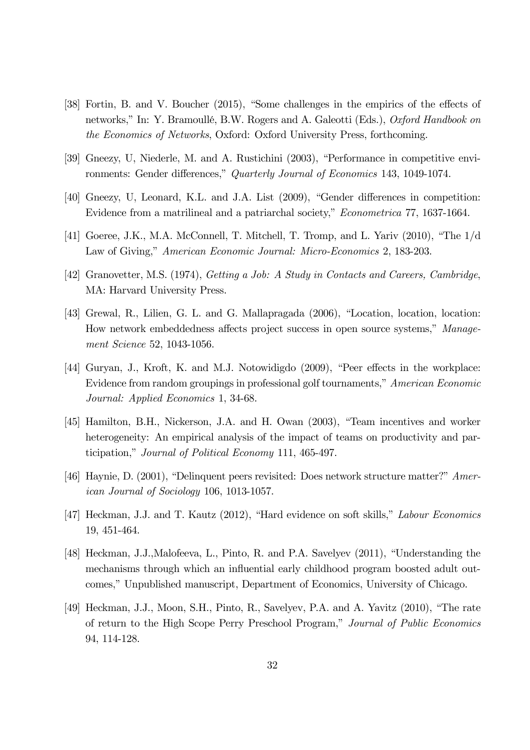- [38] Fortin, B. and V. Boucher (2015), "Some challenges in the empirics of the effects of networks," In: Y. Bramoullé, B.W. Rogers and A. Galeotti (Eds.), Oxford Handbook on the Economics of Networks, Oxford: Oxford University Press, forthcoming.
- [39] Gneezy, U, Niederle, M. and A. Rustichini (2003), "Performance in competitive environments: Gender differences," Quarterly Journal of Economics 143, 1049-1074.
- [40] Gneezy, U, Leonard, K.L. and J.A. List (2009), "Gender differences in competition: Evidence from a matrilineal and a patriarchal society," Econometrica 77, 1637-1664.
- [41] Goeree, J.K., M.A. McConnell, T. Mitchell, T. Tromp, and L. Yariv (2010), "The 1/d Law of Giving," American Economic Journal: Micro-Economics 2, 183-203.
- [42] Granovetter, M.S. (1974), Getting a Job: A Study in Contacts and Careers, Cambridge, MA: Harvard University Press.
- [43] Grewal, R., Lilien, G. L. and G. Mallapragada (2006), "Location, location, location: How network embeddedness affects project success in open source systems," Management Science 52, 1043-1056.
- [44] Guryan, J., Kroft, K. and M.J. Notowidigdo (2009), "Peer effects in the workplace: Evidence from random groupings in professional golf tournaments," American Economic Journal: Applied Economics 1, 34-68.
- [45] Hamilton, B.H., Nickerson, J.A. and H. Owan (2003), "Team incentives and worker heterogeneity: An empirical analysis of the impact of teams on productivity and participation," Journal of Political Economy 111, 465-497.
- [46] Haynie, D. (2001), "Delinquent peers revisited: Does network structure matter?" American Journal of Sociology 106, 1013-1057.
- [47] Heckman, J.J. and T. Kautz (2012), "Hard evidence on soft skills," Labour Economics 19, 451-464.
- [48] Heckman, J.J.,Malofeeva, L., Pinto, R. and P.A. Savelyev (2011), "Understanding the mechanisms through which an influential early childhood program boosted adult outcomes," Unpublished manuscript, Department of Economics, University of Chicago.
- [49] Heckman, J.J., Moon, S.H., Pinto, R., Savelyev, P.A. and A. Yavitz (2010), "The rate of return to the High Scope Perry Preschool Program," Journal of Public Economics 94, 114-128.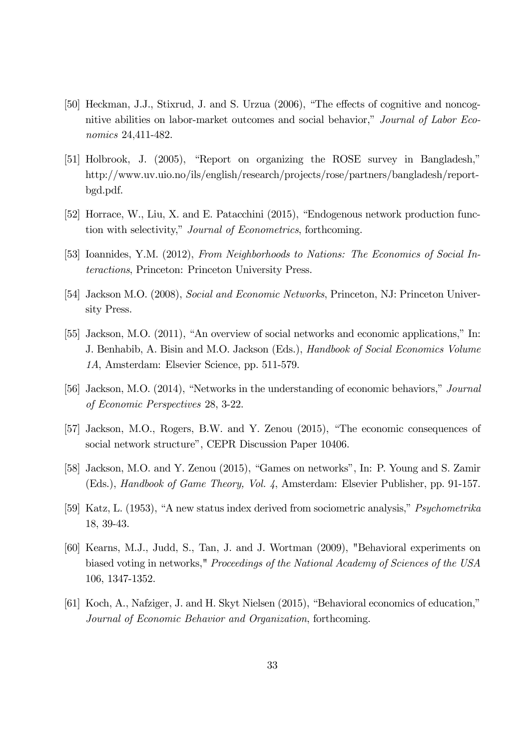- [50] Heckman, J.J., Stixrud, J. and S. Urzua (2006), "The effects of cognitive and noncognitive abilities on labor-market outcomes and social behavior," Journal of Labor Economics 24,411-482.
- [51] Holbrook, J. (2005), "Report on organizing the ROSE survey in Bangladesh," http://www.uv.uio.no/ils/english/research/projects/rose/partners/bangladesh/reportbgd.pdf.
- [52] Horrace, W., Liu, X. and E. Patacchini (2015), "Endogenous network production function with selectivity," Journal of Econometrics, forthcoming.
- [53] Ioannides, Y.M. (2012), From Neighborhoods to Nations: The Economics of Social Interactions, Princeton: Princeton University Press.
- [54] Jackson M.O. (2008), Social and Economic Networks, Princeton, NJ: Princeton University Press.
- [55] Jackson, M.O. (2011), "An overview of social networks and economic applications," In: J. Benhabib, A. Bisin and M.O. Jackson (Eds.), Handbook of Social Economics Volume 1A, Amsterdam: Elsevier Science, pp. 511-579.
- [56] Jackson, M.O. (2014), "Networks in the understanding of economic behaviors," Journal of Economic Perspectives 28, 3-22.
- [57] Jackson, M.O., Rogers, B.W. and Y. Zenou (2015), "The economic consequences of social network structure", CEPR Discussion Paper 10406.
- [58] Jackson, M.O. and Y. Zenou (2015), "Games on networks", In: P. Young and S. Zamir (Eds.), Handbook of Game Theory, Vol. 4, Amsterdam: Elsevier Publisher, pp. 91-157.
- [59] Katz, L. (1953), "A new status index derived from sociometric analysis," Psychometrika 18, 39-43.
- [60] Kearns, M.J., Judd, S., Tan, J. and J. Wortman (2009), "Behavioral experiments on biased voting in networks," Proceedings of the National Academy of Sciences of the USA 106, 1347-1352.
- [61] Koch, A., Nafziger, J. and H. Skyt Nielsen (2015), "Behavioral economics of education," Journal of Economic Behavior and Organization, forthcoming.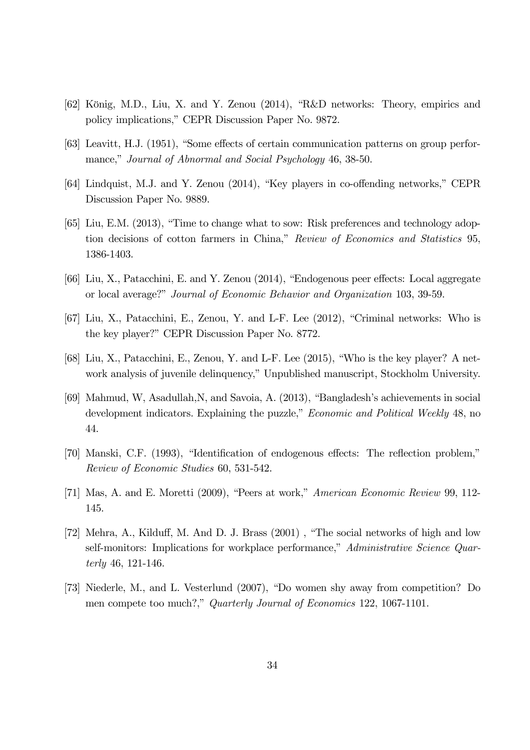- [62] König, M.D., Liu, X. and Y. Zenou (2014), "R&D networks: Theory, empirics and policy implications," CEPR Discussion Paper No. 9872.
- [63] Leavitt, H.J. (1951), "Some effects of certain communication patterns on group performance," Journal of Abnormal and Social Psychology 46, 38-50.
- [64] Lindquist, M.J. and Y. Zenou (2014), "Key players in co-offending networks," CEPR Discussion Paper No. 9889.
- [65] Liu, E.M. (2013), "Time to change what to sow: Risk preferences and technology adoption decisions of cotton farmers in China," Review of Economics and Statistics 95, 1386-1403.
- [66] Liu, X., Patacchini, E. and Y. Zenou (2014), "Endogenous peer effects: Local aggregate or local average?" Journal of Economic Behavior and Organization 103, 39-59.
- [67] Liu, X., Patacchini, E., Zenou, Y. and L-F. Lee (2012), "Criminal networks: Who is the key player?" CEPR Discussion Paper No. 8772.
- [68] Liu, X., Patacchini, E., Zenou, Y. and L-F. Lee (2015), "Who is the key player? A network analysis of juvenile delinquency," Unpublished manuscript, Stockholm University.
- [69] Mahmud, W, Asadullah,N, and Savoia, A. (2013), "Bangladesh's achievements in social development indicators. Explaining the puzzle," *Economic and Political Weekly* 48, no 44.
- [70] Manski, C.F. (1993), "Identification of endogenous effects: The reflection problem," Review of Economic Studies 60, 531-542.
- [71] Mas, A. and E. Moretti (2009), "Peers at work," American Economic Review 99, 112- 145.
- [72] Mehra, A., Kilduff, M. And D. J. Brass (2001) , "The social networks of high and low self-monitors: Implications for workplace performance," Administrative Science Quarterly 46, 121-146.
- [73] Niederle, M., and L. Vesterlund (2007), "Do women shy away from competition? Do men compete too much?," Quarterly Journal of Economics 122, 1067-1101.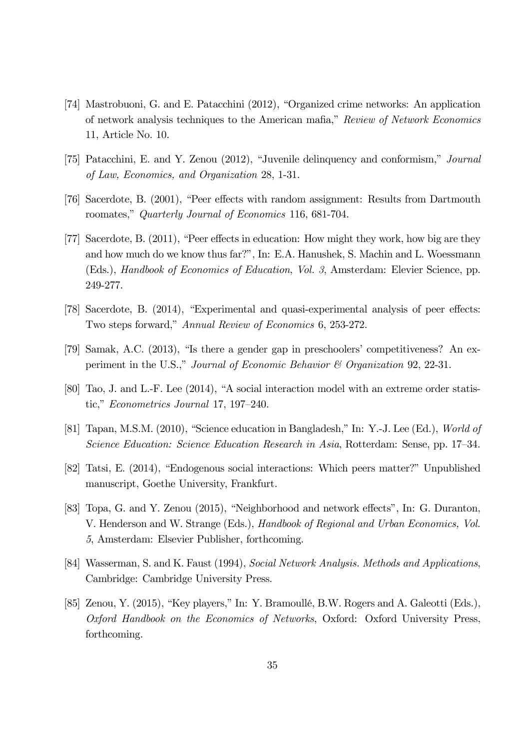- [74] Mastrobuoni, G. and E. Patacchini (2012), "Organized crime networks: An application of network analysis techniques to the American mafia," Review of Network Economics 11, Article No. 10.
- [75] Patacchini, E. and Y. Zenou (2012), "Juvenile delinquency and conformism," Journal of Law, Economics, and Organization 28, 1-31.
- [76] Sacerdote, B. (2001), "Peer effects with random assignment: Results from Dartmouth roomates," Quarterly Journal of Economics 116, 681-704.
- [77] Sacerdote, B. (2011), "Peer effects in education: How might they work, how big are they and how much do we know thus far?", In: E.A. Hanushek, S. Machin and L. Woessmann (Eds.), Handbook of Economics of Education, Vol. 3, Amsterdam: Elevier Science, pp. 249-277.
- [78] Sacerdote, B. (2014), "Experimental and quasi-experimental analysis of peer effects: Two steps forward," Annual Review of Economics 6, 253-272.
- [79] Samak, A.C. (2013), "Is there a gender gap in preschoolers' competitiveness? An experiment in the U.S.," Journal of Economic Behavior & Organization 92, 22-31.
- [80] Tao, J. and L.-F. Lee (2014), "A social interaction model with an extreme order statistic," Econometrics Journal 17, 197—240.
- [81] Tapan, M.S.M. (2010), "Science education in Bangladesh," In: Y.-J. Lee (Ed.), World of Science Education: Science Education Research in Asia, Rotterdam: Sense, pp. 17—34.
- [82] Tatsi, E. (2014), "Endogenous social interactions: Which peers matter?" Unpublished manuscript, Goethe University, Frankfurt.
- [83] Topa, G. and Y. Zenou (2015), "Neighborhood and network effects", In: G. Duranton, V. Henderson and W. Strange (Eds.), Handbook of Regional and Urban Economics, Vol. 5, Amsterdam: Elsevier Publisher, forthcoming.
- [84] Wasserman, S. and K. Faust (1994), Social Network Analysis. Methods and Applications, Cambridge: Cambridge University Press.
- [85] Zenou, Y. (2015), "Key players," In: Y. Bramoullé, B.W. Rogers and A. Galeotti (Eds.), Oxford Handbook on the Economics of Networks, Oxford: Oxford University Press, forthcoming.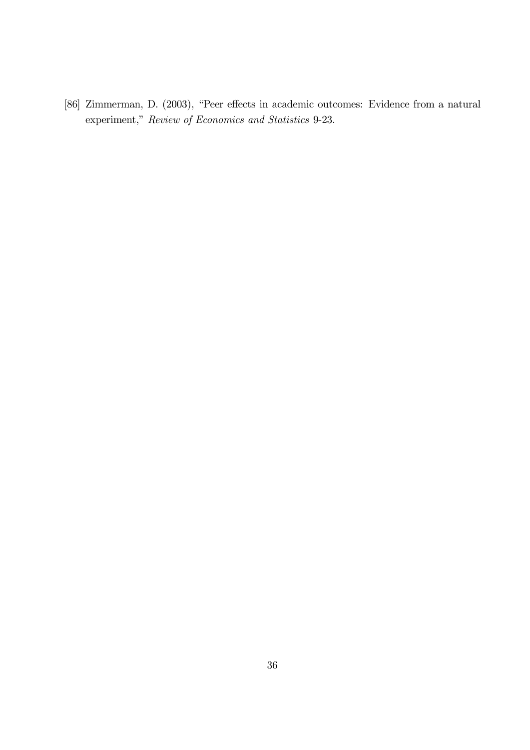[86] Zimmerman, D. (2003), "Peer effects in academic outcomes: Evidence from a natural experiment," Review of Economics and Statistics 9-23.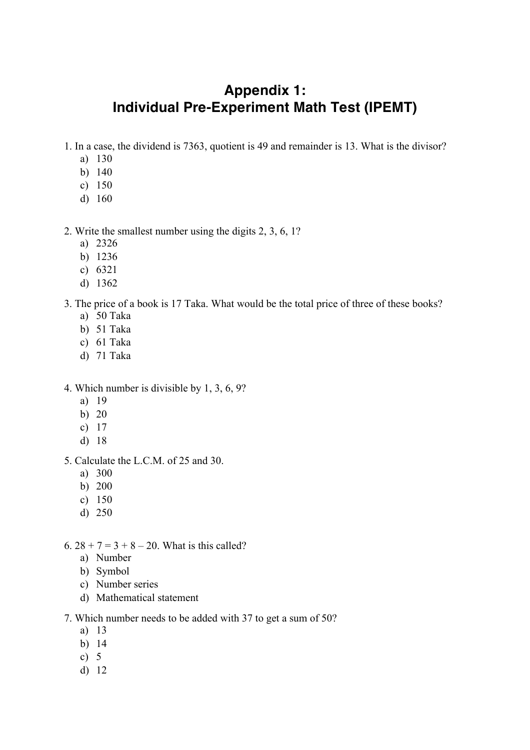# **Appendix 1: Individual Pre-Experiment Math Test (IPEMT)**

- 1. In a case, the dividend is 7363, quotient is 49 and remainder is 13. What is the divisor?
	- a) 130
	- b) 140
	- c) 150
	- d) 160

## 2. Write the smallest number using the digits 2, 3, 6, 1?

- a) 2326
- b) 1236
- c) 6321
- d) 1362

## 3. The price of a book is 17 Taka. What would be the total price of three of these books?

- a) 50 Taka
- b) 51 Taka
- c) 61 Taka
- d) 71 Taka
- 4. Which number is divisible by 1, 3, 6, 9?
	- a) 19
	- b) 20
	- c) 17
	- d) 18
- 5. Calculate the L.C.M. of 25 and 30.
	- a) 300
	- b) 200
	- c) 150
	- d) 250
- 6.  $28 + 7 = 3 + 8 20$ . What is this called?
	- a) Number
	- b) Symbol
	- c) Number series
	- d) Mathematical statement

## 7. Which number needs to be added with 37 to get a sum of 50?

- a) 13
- b) 14
- c) 5
- d) 12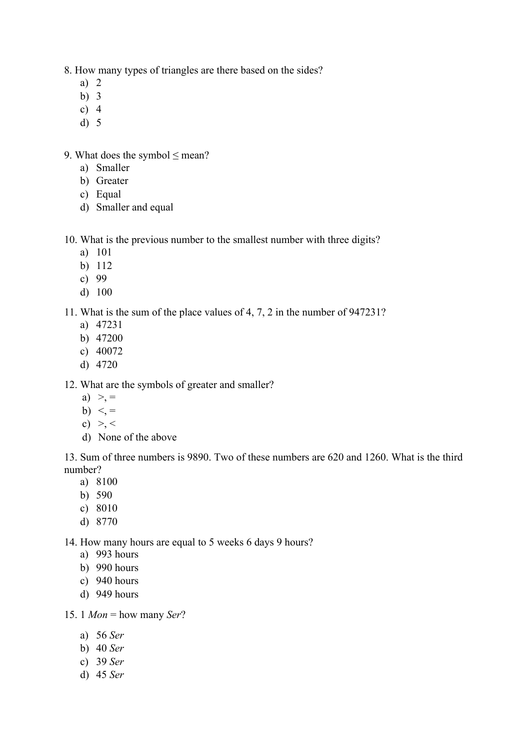8. How many types of triangles are there based on the sides?

- a) 2
- b) 3
- c)  $4$
- d) 5

9. What does the symbol  $\leq$  mean?

- a) Smaller
- b) Greater
- c) Equal
- d) Smaller and equal

10. What is the previous number to the smallest number with three digits?

- a) 101
- b) 112
- c) 99
- d) 100

11. What is the sum of the place values of 4, 7, 2 in the number of 947231?

- a) 47231
- b) 47200
- c) 40072
- d) 4720

12. What are the symbols of greater and smaller?

- a)  $> =$
- b)  $\leq$  =
- c)  $> <$
- d) None of the above

13. Sum of three numbers is 9890. Two of these numbers are 620 and 1260. What is the third number?

- a) 8100
- b) 590
- c) 8010
- d) 8770

14. How many hours are equal to 5 weeks 6 days 9 hours?

- a) 993 hours
- b) 990 hours
- c) 940 hours
- d) 949 hours

15. 1 *Mon* = how many *Ser*?

- a) 56 *Ser*
- b) 40 *Ser*
- c) 39 *Ser*
- d) 45 *Ser*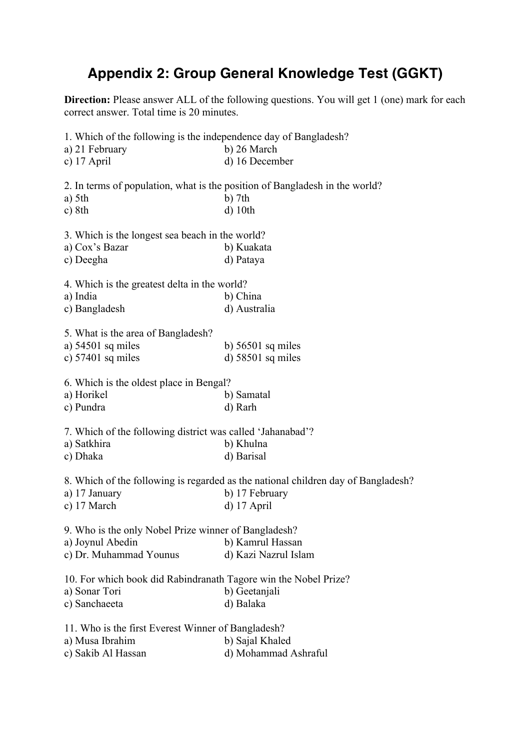# **Appendix 2: Group General Knowledge Test (GGKT)**

**Direction:** Please answer ALL of the following questions. You will get 1 (one) mark for each correct answer. Total time is 20 minutes.

1. Which of the following is the independence day of Bangladesh? a) 21 February b) 26 March c) 17 April d) 16 December 2. In terms of population, what is the position of Bangladesh in the world? a) 5th b) 7th c) 8th d) 10tl  $d)$  10th 3. Which is the longest sea beach in the world? a) Cox's Bazar b) Kuakata c) Deegha d) Pataya 4. Which is the greatest delta in the world? a) India b) China c) Bangladesh d) Australia 5. What is the area of Bangladesh? a)  $54501$  sq miles b)  $56501$  sq miles c)  $57401$  sq miles d)  $58501$  sq miles 6. Which is the oldest place in Bengal? a) Horikel b) Samatal c) Pundra d) Rarh 7. Which of the following district was called 'Jahanabad'? a) Satkhira b) Khulna c) Dhaka d) Barisal 8. Which of the following is regarded as the national children day of Bangladesh? a) 17 January b) 17 February c) 17 March d) 17 April 9. Who is the only Nobel Prize winner of Bangladesh? a) Joynul Abedin b) Kamrul Hassan c) Dr. Muhammad Younus d) Kazi Nazrul Islam 10. For which book did Rabindranath Tagore win the Nobel Prize? a) Sonar Tori b) Geetanjali c) Sanchaeeta d) Balaka 11. Who is the first Everest Winner of Bangladesh? a) Musa Ibrahim b) Sajal Khaled c) Sakib Al Hassan d) Mohammad Ashraful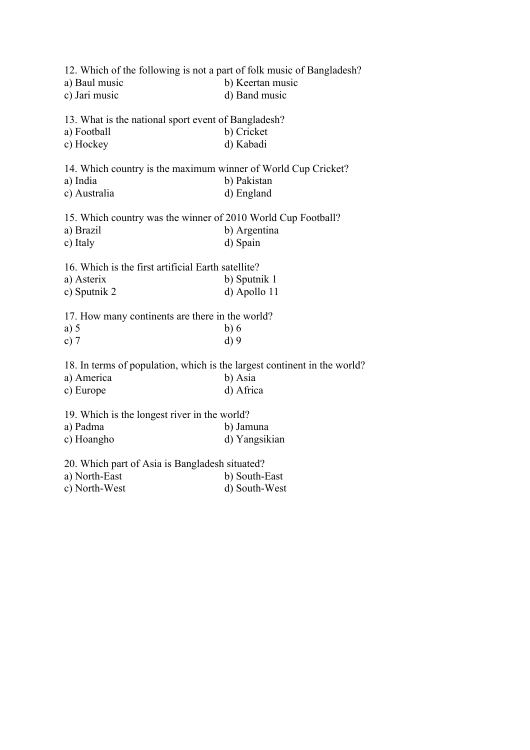| 12. Which of the following is not a part of folk music of Bangladesh?<br>a) Baul music<br>c) Jari music | b) Keertan music<br>d) Band music |
|---------------------------------------------------------------------------------------------------------|-----------------------------------|
| 13. What is the national sport event of Bangladesh?<br>a) Football                                      | b) Cricket<br>d) Kabadi           |
| c) Hockey                                                                                               |                                   |
| 14. Which country is the maximum winner of World Cup Cricket?<br>a) India                               | b) Pakistan                       |
| c) Australia                                                                                            | d) England                        |
|                                                                                                         |                                   |
| 15. Which country was the winner of 2010 World Cup Football?                                            |                                   |
| a) Brazil                                                                                               | b) Argentina                      |
| c) Italy                                                                                                | d) Spain                          |
| 16. Which is the first artificial Earth satellite?                                                      |                                   |
| a) Asterix                                                                                              | b) Sputnik 1                      |
| c) Sputnik 2                                                                                            | d) Apollo 11                      |
| 17. How many continents are there in the world?                                                         |                                   |
| a) $5$                                                                                                  | b)6                               |
| c) $7$                                                                                                  | $d$ ) 9                           |
| 18. In terms of population, which is the largest continent in the world?                                |                                   |
| a) America                                                                                              | b) Asia                           |
| c) Europe                                                                                               | d) Africa                         |
| 19. Which is the longest river in the world?                                                            |                                   |
| a) Padma                                                                                                | b) Jamuna                         |
| c) Hoangho                                                                                              | d) Yangsikian                     |
| 20. Which part of Asia is Bangladesh situated?                                                          |                                   |
| a) North-East                                                                                           | b) South-East                     |
| c) North-West                                                                                           | d) South-West                     |
|                                                                                                         |                                   |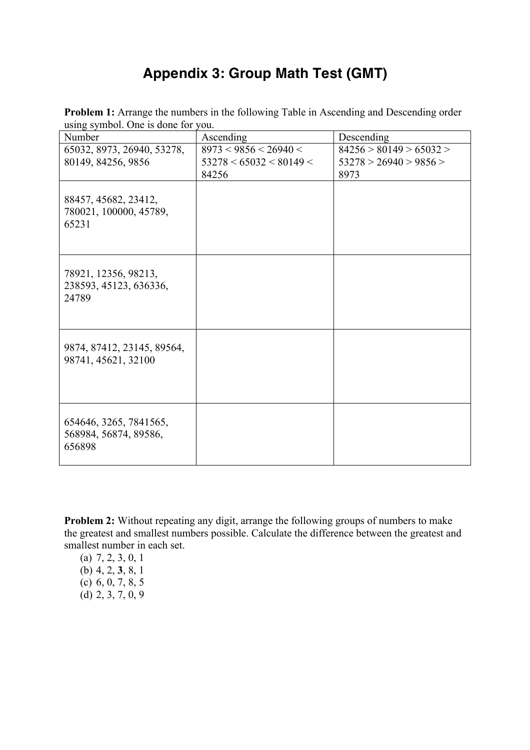# **Appendix 3: Group Math Test (GMT)**

**Problem 1:** Arrange the numbers in the following Table in Ascending and Descending order using symbol. One is done for you.

| Number                                                    | Ascending                                        | Descending                                        |
|-----------------------------------------------------------|--------------------------------------------------|---------------------------------------------------|
| 65032, 8973, 26940, 53278,<br>80149, 84256, 9856          | 8973 < 9856 < 26940 <<br>53278 < 65032 < 80149 < | 84256 > 80149 > 65032 ><br>53278 > 26940 > 9856 > |
|                                                           | 84256                                            | 8973                                              |
| 88457, 45682, 23412,<br>780021, 100000, 45789,<br>65231   |                                                  |                                                   |
| 78921, 12356, 98213,<br>238593, 45123, 636336,<br>24789   |                                                  |                                                   |
| 9874, 87412, 23145, 89564,<br>98741, 45621, 32100         |                                                  |                                                   |
| 654646, 3265, 7841565,<br>568984, 56874, 89586,<br>656898 |                                                  |                                                   |

**Problem 2:** Without repeating any digit, arrange the following groups of numbers to make the greatest and smallest numbers possible. Calculate the difference between the greatest and smallest number in each set.

(a) 7, 2, 3, 0, 1 (b) 4, 2, **3**, 8, 1 (c)  $6, 0, 7, 8, 5$ (d) 2, 3, 7, 0, 9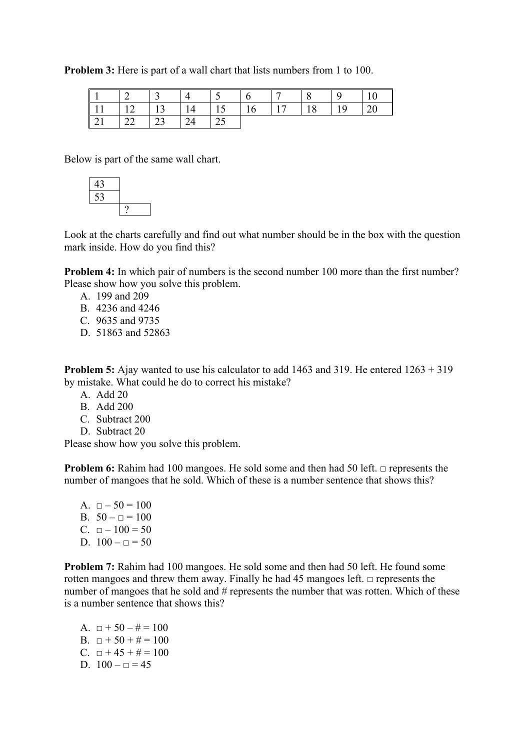**Problem 3:** Here is part of a wall chart that lists numbers from 1 to 100.

|                                                             | $\begin{array}{ c c c c c } \hline 2 & 3 & 4 \ \hline \end{array}$ |  | $\begin{array}{ c c c c c } \hline 5 & \begin{array}{ c c c } \hline 6 & \end{array} \\ \hline \end{array}$ | 7   8 | $\overline{9}$ |  |
|-------------------------------------------------------------|--------------------------------------------------------------------|--|-------------------------------------------------------------------------------------------------------------|-------|----------------|--|
| $\parallel$ 11   12   13   14   15   16   17   18   19   20 |                                                                    |  |                                                                                                             |       |                |  |
|                                                             |                                                                    |  |                                                                                                             |       |                |  |

Below is part of the same wall chart.



Look at the charts carefully and find out what number should be in the box with the question mark inside. How do you find this?

**Problem 4:** In which pair of numbers is the second number 100 more than the first number? Please show how you solve this problem.

- A. 199 and 209
- B. 4236 and 4246
- C. 9635 and 9735
- D. 51863 and 52863

**Problem 5:** Ajay wanted to use his calculator to add 1463 and 319. He entered 1263 + 319 by mistake. What could he do to correct his mistake?

- A. Add 20
- B. Add 200
- C. Subtract 200
- D. Subtract 20

Please show how you solve this problem.

**Problem 6:** Rahim had 100 mangoes. He sold some and then had 50 left. □ represents the number of mangoes that he sold. Which of these is a number sentence that shows this?

A.  $\Box - 50 = 100$ B.  $50 - \square = 100$ C.  $\Box - 100 = 50$ D.  $100 - \square = 50$ 

**Problem 7:** Rahim had 100 mangoes. He sold some and then had 50 left. He found some rotten mangoes and threw them away. Finally he had 45 mangoes left.  $\Box$  represents the number of mangoes that he sold and # represents the number that was rotten. Which of these is a number sentence that shows this?

A.  $\Box + 50 - \# = 100$ B.  $\Box$  + 50 + # = 100 C.  $\Box$  + 45 + # = 100 D.  $100 - \square = 45$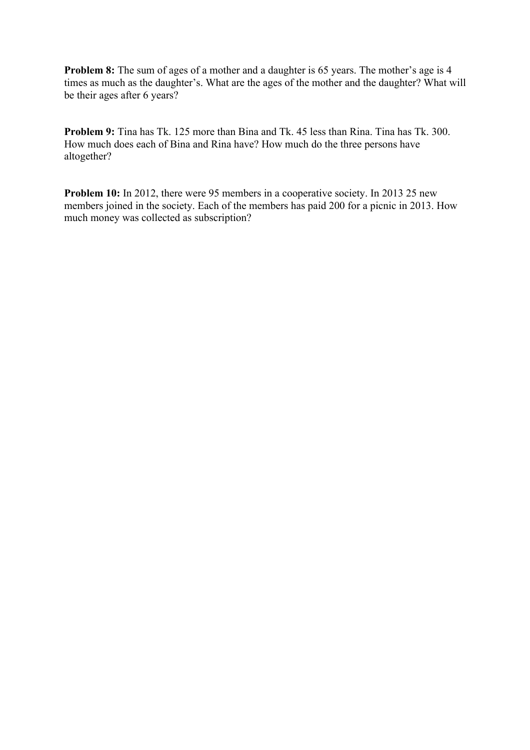**Problem 8:** The sum of ages of a mother and a daughter is 65 years. The mother's age is 4 times as much as the daughter's. What are the ages of the mother and the daughter? What will be their ages after 6 years?

**Problem 9:** Tina has Tk. 125 more than Bina and Tk. 45 less than Rina. Tina has Tk. 300. How much does each of Bina and Rina have? How much do the three persons have altogether?

**Problem 10:** In 2012, there were 95 members in a cooperative society. In 2013 25 new members joined in the society. Each of the members has paid 200 for a picnic in 2013. How much money was collected as subscription?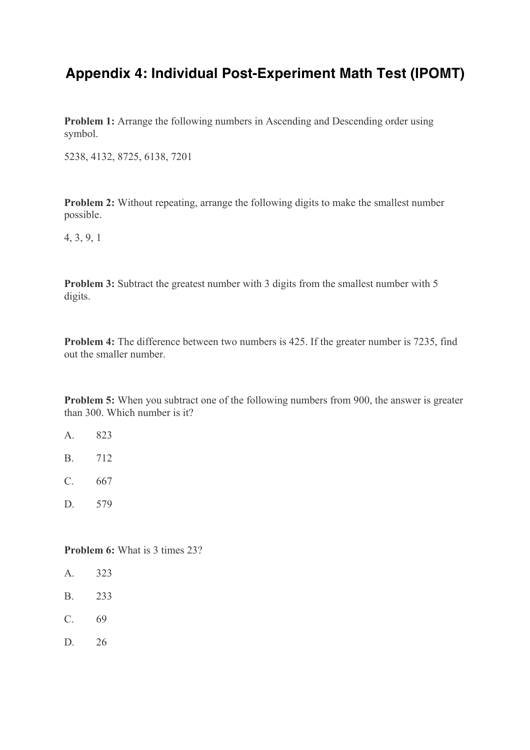# **Appendix 4: Individual Post-Experiment Math Test (IPOMT)**

**Problem 1:** Arrange the following numbers in Ascending and Descending order using symbol.

5238, 4132, 8725, 6138, 7201

**Problem 2:** Without repeating, arrange the following digits to make the smallest number possible.

4, 3, 9, 1

**Problem 3:** Subtract the greatest number with 3 digits from the smallest number with 5 digits.

**Problem 4:** The difference between two numbers is 425. If the greater number is 7235, find out the smaller number.

**Problem 5:** When you subtract one of the following numbers from 900, the answer is greater than 300. Which number is it?

- A. 823
- B. 712
- C. 667
- D. 579

**Problem 6:** What is 3 times 23?

- A. 323
- B. 233
- C. 69
- D. 26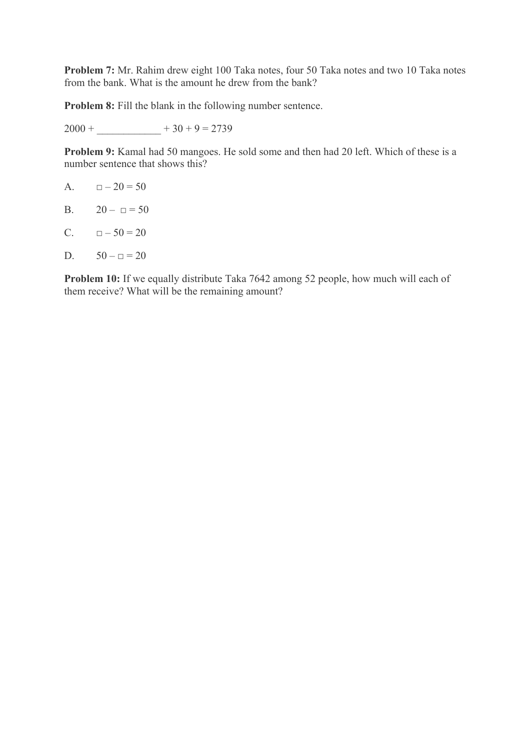**Problem 7:** Mr. Rahim drew eight 100 Taka notes, four 50 Taka notes and two 10 Taka notes from the bank. What is the amount he drew from the bank?

**Problem 8:** Fill the blank in the following number sentence.

 $2000 + 30 + 9 = 2739$ 

**Problem 9:** Kamal had 50 mangoes. He sold some and then had 20 left. Which of these is a number sentence that shows this?

A.  $\Box - 20 = 50$ 

B.  $20 - \square = 50$ 

C.  $\Box - 50 = 20$ 

D.  $50 - \square = 20$ 

**Problem 10:** If we equally distribute Taka 7642 among 52 people, how much will each of them receive? What will be the remaining amount?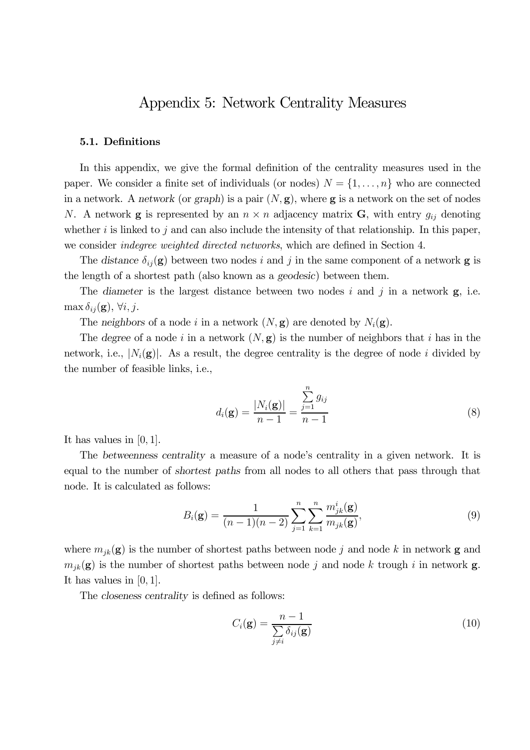## Appendix 5: Network Centrality Measures

#### 5.1. Definitions

In this appendix, we give the formal definition of the centrality measures used in the paper. We consider a finite set of individuals (or nodes)  $N = \{1, \ldots, n\}$  who are connected in a network. A network (or graph) is a pair  $(N, g)$ , where g is a network on the set of nodes N. A network **g** is represented by an  $n \times n$  adjacency matrix **G**, with entry  $g_{ij}$  denoting whether  $i$  is linked to  $j$  and can also include the intensity of that relationship. In this paper, we consider *indegree weighted directed networks*, which are defined in Section 4.

The distance  $\delta_{ij}(\mathbf{g})$  between two nodes i and j in the same component of a network **g** is the length of a shortest path (also known as a geodesic) between them.

The diameter is the largest distance between two nodes  $i$  and  $j$  in a network  $\mathbf{g}$ , i.e.  $\max \delta_{ij}({\bf g}), \forall i, j.$ 

The neighbors of a node *i* in a network  $(N, g)$  are denoted by  $N_i(g)$ .

The degree of a node *i* in a network  $(N, g)$  is the number of neighbors that *i* has in the network, i.e.,  $|N_i(\mathbf{g})|$ . As a result, the degree centrality is the degree of node *i* divided by the number of feasible links, i.e.,

$$
d_i(\mathbf{g}) = \frac{|N_i(\mathbf{g})|}{n-1} = \frac{\sum_{j=1}^n g_{ij}}{n-1}
$$
\n(8)

It has values in  $[0, 1]$ .

The betweenness centrality a measure of a node's centrality in a given network. It is equal to the number of shortest paths from all nodes to all others that pass through that node. It is calculated as follows:

$$
B_i(\mathbf{g}) = \frac{1}{(n-1)(n-2)} \sum_{j=1}^n \sum_{k=1}^n \frac{m_{jk}^i(\mathbf{g})}{m_{jk}(\mathbf{g})},
$$
(9)

where  $m_{jk}(\mathbf{g})$  is the number of shortest paths between node j and node k in network **g** and  $m_{jk}(\mathbf{g})$  is the number of shortest paths between node j and node k trough i in network **g**. It has values in  $[0, 1]$ .

The closeness centrality is defined as follows:

$$
C_i(\mathbf{g}) = \frac{n-1}{\sum_{j \neq i} \delta_{ij}(\mathbf{g})}
$$
(10)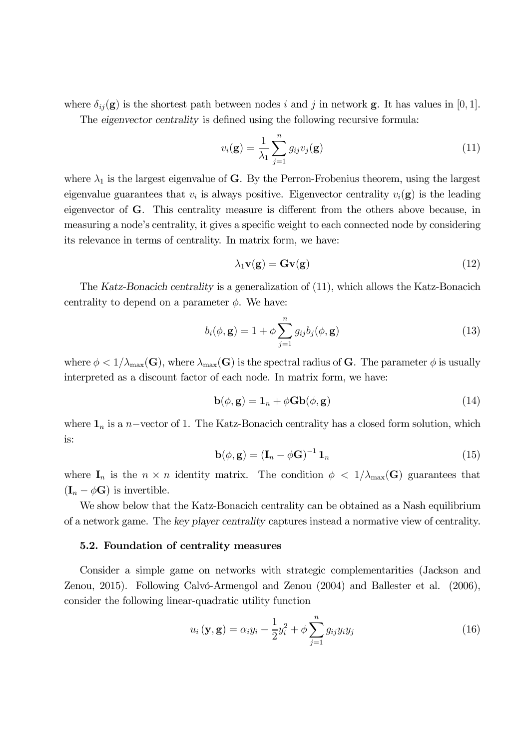where  $\delta_{ij}(\mathbf{g})$  is the shortest path between nodes *i* and *j* in network **g**. It has values in [0, 1]. The eigenvector centrality is defined using the following recursive formula:

> $v_i({\bf g}) = \frac{1}{\sqrt{2}}$  $\lambda_1$  $\sum_{n=1}^{\infty}$  $j=1$  $g_{ij}v_j(\mathbf{g})$  (11)

where  $\lambda_1$  is the largest eigenvalue of G. By the Perron-Frobenius theorem, using the largest eigenvalue guarantees that  $v_i$  is always positive. Eigenvector centrality  $v_i(\mathbf{g})$  is the leading eigenvector of G. This centrality measure is different from the others above because, in measuring a node's centrality, it gives a specific weight to each connected node by considering its relevance in terms of centrality. In matrix form, we have:

$$
\lambda_1 \mathbf{v}(\mathbf{g}) = \mathbf{G} \mathbf{v}(\mathbf{g}) \tag{12}
$$

The Katz-Bonacich centrality is a generalization of (11), which allows the Katz-Bonacich centrality to depend on a parameter  $\phi$ . We have:

$$
b_i(\phi, \mathbf{g}) = 1 + \phi \sum_{j=1}^n g_{ij} b_j(\phi, \mathbf{g})
$$
\n(13)

where  $\phi < 1/\lambda_{\max}(\mathbf{G})$ , where  $\lambda_{\max}(\mathbf{G})$  is the spectral radius of G. The parameter  $\phi$  is usually interpreted as a discount factor of each node. In matrix form, we have:

$$
\mathbf{b}(\phi, \mathbf{g}) = \mathbf{1}_n + \phi \mathbf{G} \mathbf{b}(\phi, \mathbf{g}) \tag{14}
$$

where  $\mathbf{1}_n$  is a *n*-vector of 1. The Katz-Bonacich centrality has a closed form solution, which is:

$$
\mathbf{b}(\phi, \mathbf{g}) = \left(\mathbf{I}_n - \phi \mathbf{G}\right)^{-1} \mathbf{1}_n \tag{15}
$$

where  $I_n$  is the  $n \times n$  identity matrix. The condition  $\phi < 1/\lambda_{\max}(G)$  guarantees that  $(I_n - \phi \mathbf{G})$  is invertible.

We show below that the Katz-Bonacich centrality can be obtained as a Nash equilibrium of a network game. The key player centrality captures instead a normative view of centrality.

#### 5.2. Foundation of centrality measures

Consider a simple game on networks with strategic complementarities (Jackson and Zenou, 2015). Following Calvó-Armengol and Zenou (2004) and Ballester et al. (2006), consider the following linear-quadratic utility function

$$
u_i(\mathbf{y}, \mathbf{g}) = \alpha_i y_i - \frac{1}{2} y_i^2 + \phi \sum_{j=1}^n g_{ij} y_i y_j \tag{16}
$$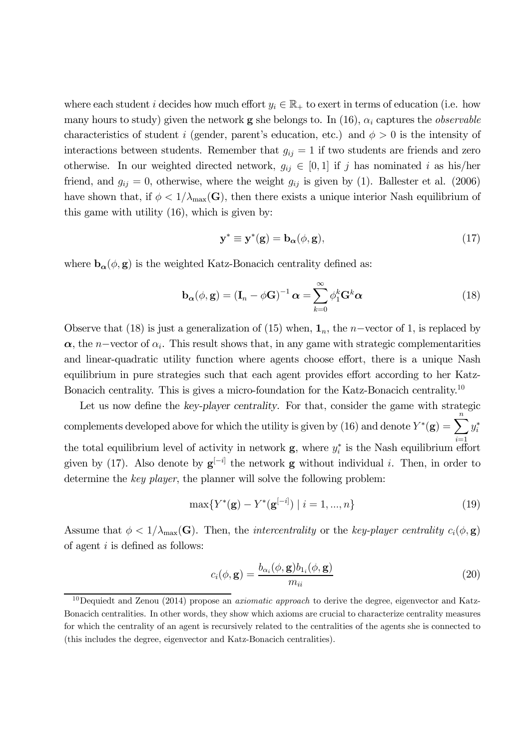where each student *i* decides how much effort  $y_i \in \mathbb{R}_+$  to exert in terms of education (i.e. how many hours to study) given the network **g** she belongs to. In (16),  $\alpha_i$  captures the *observable* characteristics of student *i* (gender, parent's education, etc.) and  $\phi > 0$  is the intensity of interactions between students. Remember that  $q_{ij} = 1$  if two students are friends and zero otherwise. In our weighted directed network,  $g_{ij} \in [0,1]$  if j has nominated i as his/her friend, and  $g_{ij} = 0$ , otherwise, where the weight  $g_{ij}$  is given by (1). Ballester et al. (2006) have shown that, if  $\phi < 1/\lambda_{\max}(\mathbf{G})$ , then there exists a unique interior Nash equilibrium of this game with utility (16), which is given by:

$$
\mathbf{y}^* \equiv \mathbf{y}^*(\mathbf{g}) = \mathbf{b}_{\alpha}(\phi, \mathbf{g}),\tag{17}
$$

where  $\mathbf{b}_{\alpha}(\phi, \mathbf{g})$  is the weighted Katz-Bonacich centrality defined as:

$$
\mathbf{b}_{\alpha}(\phi, \mathbf{g}) = (\mathbf{I}_n - \phi \mathbf{G})^{-1} \alpha = \sum_{k=0}^{\infty} \phi_1^k \mathbf{G}^k \alpha
$$
 (18)

Observe that (18) is just a generalization of (15) when,  $\mathbf{1}_n$ , the *n*-vector of 1, is replaced by  $\alpha$ , the *n*-vector of  $\alpha_i$ . This result shows that, in any game with strategic complementarities and linear-quadratic utility function where agents choose effort, there is a unique Nash equilibrium in pure strategies such that each agent provides effort according to her Katz-Bonacich centrality. This is gives a micro-foundation for the Katz-Bonacich centrality.<sup>10</sup>

Let us now define the key-player centrality. For that, consider the game with strategic complements developed above for which the utility is given by (16) and denote  $Y^*(\mathbf{g}) = \sum_{i=1}^{n} y_i^*$ the total equilibrium level of activity in network **g**, where  $y_i^*$  is the Nash equilibrium effort given by (17). Also denote by  $g^{[-i]}$  the network g without individual *i*. Then, in order to determine the key player, the planner will solve the following problem:

$$
\max\{Y^*(\mathbf{g}) - Y^*(\mathbf{g}^{[-i]}) \mid i = 1, ..., n\}
$$
\n(19)

Assume that  $\phi < 1/\lambda_{\max}(\mathbf{G})$ . Then, the *intercentrality* or the key-player centrality  $c_i(\phi, \mathbf{g})$ of agent  $i$  is defined as follows:

$$
c_i(\phi, \mathbf{g}) = \frac{b_{\alpha_i}(\phi, \mathbf{g})b_{1_i}(\phi, \mathbf{g})}{m_{ii}} \tag{20}
$$

<sup>&</sup>lt;sup>10</sup>Dequiedt and Zenou (2014) propose an *axiomatic approach* to derive the degree, eigenvector and Katz-Bonacich centralities. In other words, they show which axioms are crucial to characterize centrality measures for which the centrality of an agent is recursively related to the centralities of the agents she is connected to (this includes the degree, eigenvector and Katz-Bonacich centralities).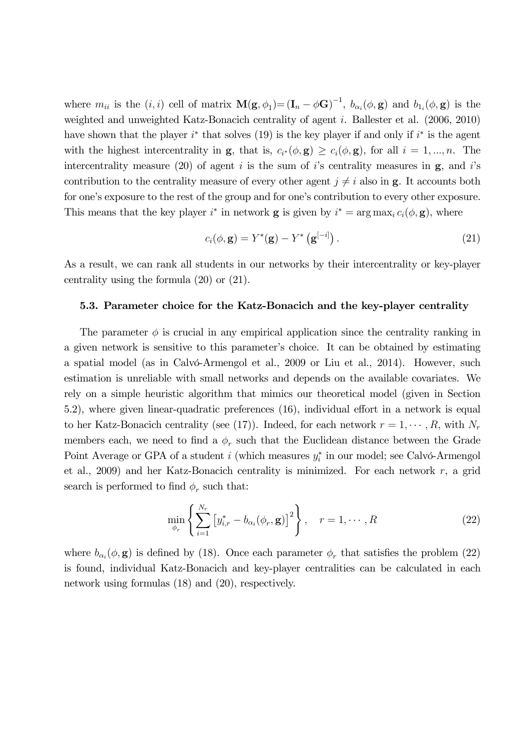where  $m_{ii}$  is the  $(i, i)$  cell of matrix  $\mathbf{M}(\mathbf{g}, \phi_1) = (\mathbf{I}_n - \phi \mathbf{G})^{-1}$ ,  $b_{\alpha_i}(\phi, \mathbf{g})$  and  $b_{1_i}(\phi, \mathbf{g})$  is the weighted and unweighted Katz-Bonacich centrality of agent  $i$ . Ballester et al. (2006, 2010) have shown that the player  $i^*$  that solves (19) is the key player if and only if  $i^*$  is the agent with the highest intercentrality in g, that is,  $c_{i^*}(\phi, \mathbf{g}) \geq c_i(\phi, \mathbf{g})$ , for all  $i = 1, ..., n$ . The intercentrality measure (20) of agent  $i$  is the sum of  $i$ 's centrality measures in  $\mathbf{g}$ , and  $i$ 's contribution to the centrality measure of every other agent  $j \neq i$  also in g. It accounts both for one's exposure to the rest of the group and for one's contribution to every other exposure. This means that the key player  $i^*$  in network **g** is given by  $i^* = \arg \max_i c_i(\phi, \mathbf{g})$ , where

$$
c_i(\phi, \mathbf{g}) = Y^*(\mathbf{g}) - Y^*\left(\mathbf{g}^{[-i]}\right). \tag{21}
$$

As a result, we can rank all students in our networks by their intercentrality or key-player centrality using the formula (20) or (21).

#### 5.3. Parameter choice for the Katz-Bonacich and the key-player centrality

The parameter  $\phi$  is crucial in any empirical application since the centrality ranking in a given network is sensitive to this parameter's choice. It can be obtained by estimating a spatial model (as in Calvó-Armengol et al., 2009 or Liu et al., 2014). However, such estimation is unreliable with small networks and depends on the available covariates. We rely on a simple heuristic algorithm that mimics our theoretical model (given in Section 5.2), where given linear-quadratic preferences (16), individual effort in a network is equal to her Katz-Bonacich centrality (see (17)). Indeed, for each network  $r = 1, \dots, R$ , with  $N_r$ members each, we need to find a  $\phi_r$  such that the Euclidean distance between the Grade Point Average or GPA of a student  $i$  (which measures  $y_i^*$  in our model; see Calvó-Armengol et al., 2009) and her Katz-Bonacich centrality is minimized. For each network  $r$ , a grid search is performed to find  $\phi_r$  such that:

$$
\min_{\phi_r} \left\{ \sum_{i=1}^{N_r} \left[ y_{i,r}^* - b_{\alpha_i}(\phi_r, \mathbf{g}) \right]^2 \right\}, \quad r = 1, \cdots, R
$$
\n(22)

where  $b_{\alpha_i}(\phi, \mathbf{g})$  is defined by (18). Once each parameter  $\phi_r$  that satisfies the problem (22) is found, individual Katz-Bonacich and key-player centralities can be calculated in each network using formulas (18) and (20), respectively.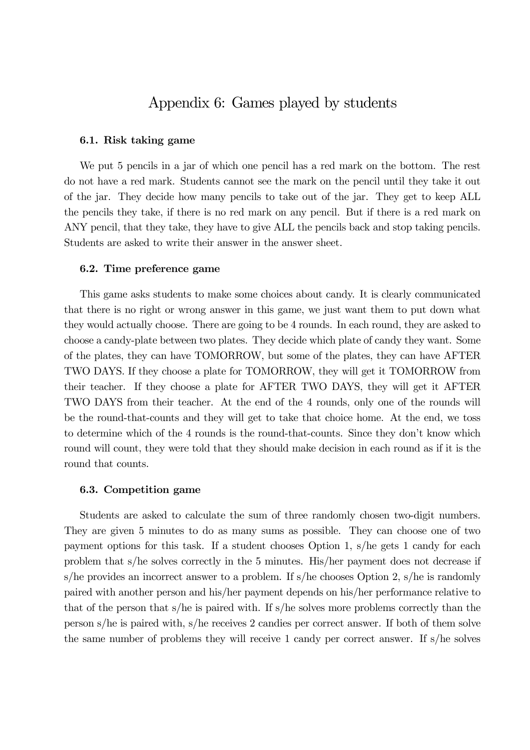## Appendix 6: Games played by students

#### 6.1. Risk taking game

We put 5 pencils in a jar of which one pencil has a red mark on the bottom. The rest do not have a red mark. Students cannot see the mark on the pencil until they take it out of the jar. They decide how many pencils to take out of the jar. They get to keep ALL the pencils they take, if there is no red mark on any pencil. But if there is a red mark on ANY pencil, that they take, they have to give ALL the pencils back and stop taking pencils. Students are asked to write their answer in the answer sheet.

#### 6.2. Time preference game

This game asks students to make some choices about candy. It is clearly communicated that there is no right or wrong answer in this game, we just want them to put down what they would actually choose. There are going to be 4 rounds. In each round, they are asked to choose a candy-plate between two plates. They decide which plate of candy they want. Some of the plates, they can have TOMORROW, but some of the plates, they can have AFTER TWO DAYS. If they choose a plate for TOMORROW, they will get it TOMORROW from their teacher. If they choose a plate for AFTER TWO DAYS, they will get it AFTER TWO DAYS from their teacher. At the end of the 4 rounds, only one of the rounds will be the round-that-counts and they will get to take that choice home. At the end, we toss to determine which of the 4 rounds is the round-that-counts. Since they don't know which round will count, they were told that they should make decision in each round as if it is the round that counts.

#### 6.3. Competition game

Students are asked to calculate the sum of three randomly chosen two-digit numbers. They are given 5 minutes to do as many sums as possible. They can choose one of two payment options for this task. If a student chooses Option 1, s/he gets 1 candy for each problem that s/he solves correctly in the 5 minutes. His/her payment does not decrease if s/he provides an incorrect answer to a problem. If s/he chooses Option 2, s/he is randomly paired with another person and his/her payment depends on his/her performance relative to that of the person that s/he is paired with. If s/he solves more problems correctly than the person s/he is paired with, s/he receives 2 candies per correct answer. If both of them solve the same number of problems they will receive 1 candy per correct answer. If s/he solves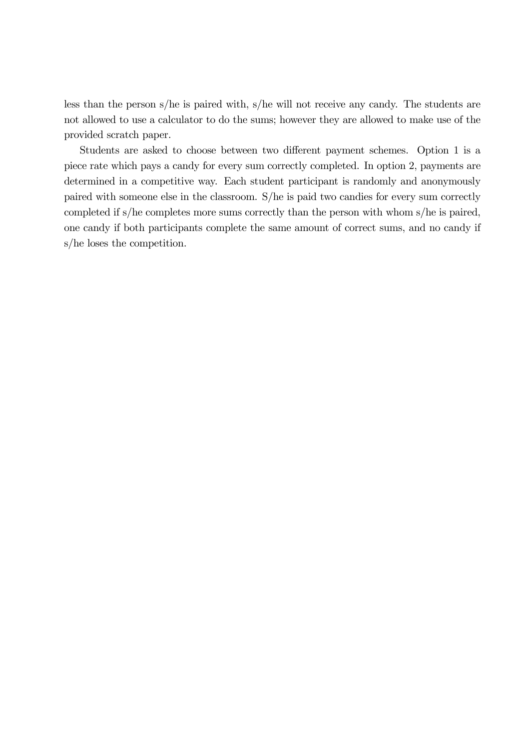less than the person s/he is paired with, s/he will not receive any candy. The students are not allowed to use a calculator to do the sums; however they are allowed to make use of the provided scratch paper.

Students are asked to choose between two different payment schemes. Option 1 is a piece rate which pays a candy for every sum correctly completed. In option 2, payments are determined in a competitive way. Each student participant is randomly and anonymously paired with someone else in the classroom. S/he is paid two candies for every sum correctly completed if s/he completes more sums correctly than the person with whom s/he is paired, one candy if both participants complete the same amount of correct sums, and no candy if s/he loses the competition.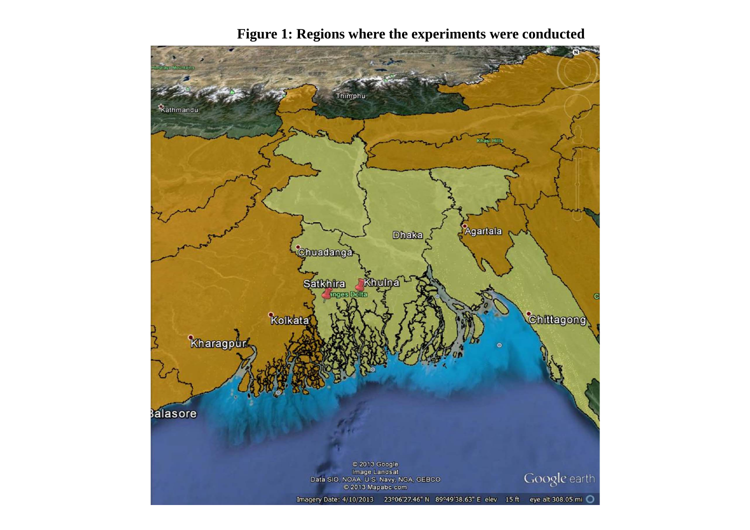

**Figure 1: Regions where the experiments were conducted**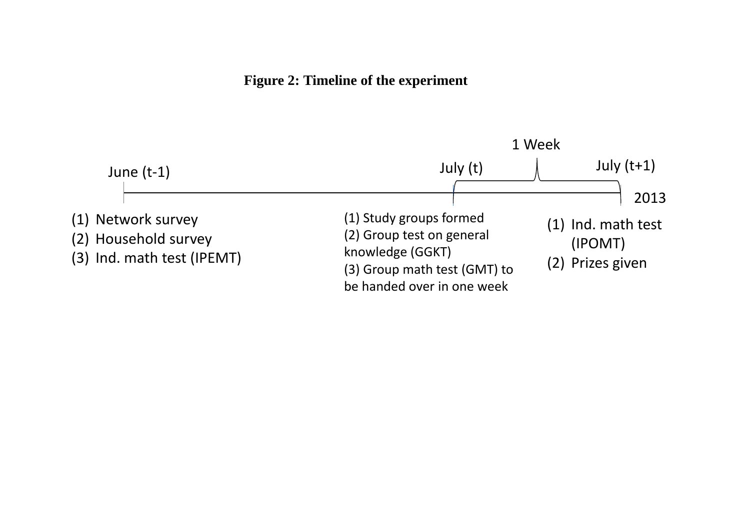**Figure 2: Timeline of the experiment**

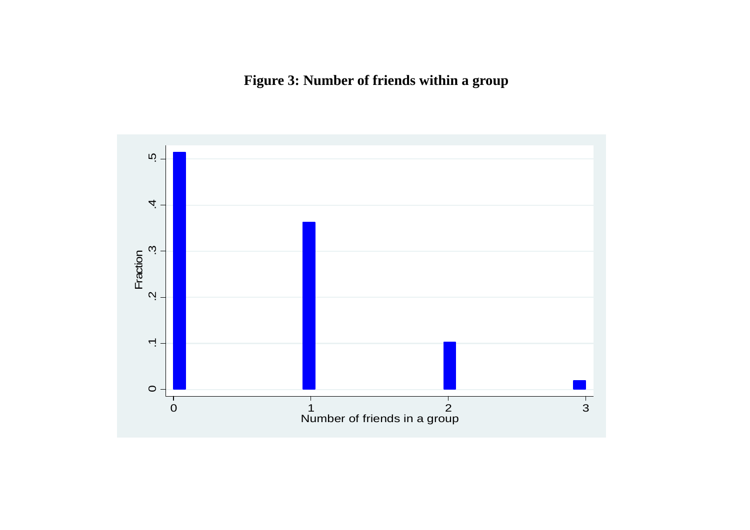**Figure 3: Number of friends within a group**

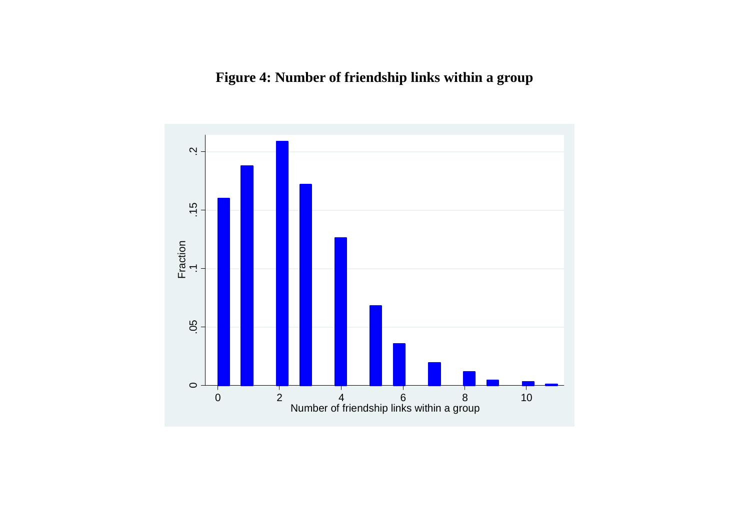# **Figure 4: Number of friendship links within a group**

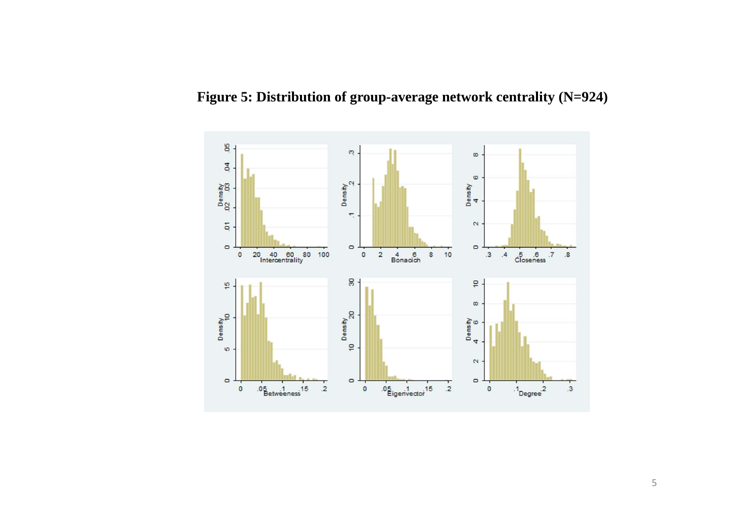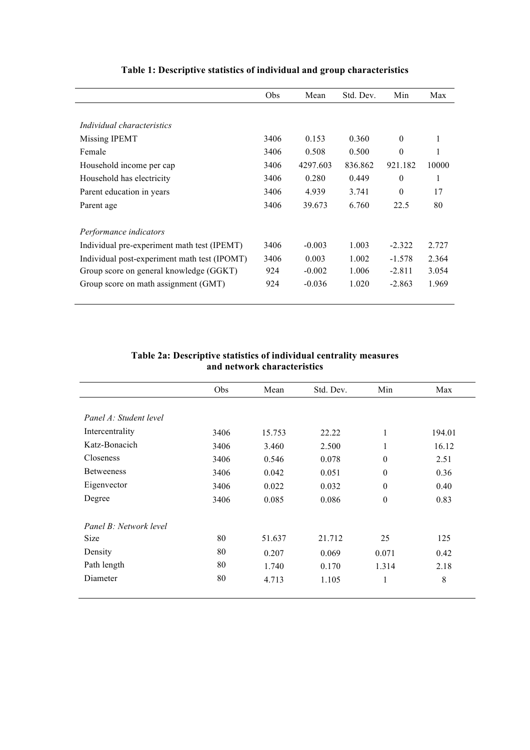|                                              | Obs  | Mean     | Std. Dev. | Min      | Max   |
|----------------------------------------------|------|----------|-----------|----------|-------|
|                                              |      |          |           |          |       |
| Individual characteristics                   |      |          |           |          |       |
| Missing IPEMT                                | 3406 | 0.153    | 0.360     | $\Omega$ | 1     |
| Female                                       | 3406 | 0.508    | 0.500     | $\theta$ | 1     |
| Household income per cap                     | 3406 | 4297.603 | 836.862   | 921.182  | 10000 |
| Household has electricity                    | 3406 | 0.280    | 0.449     | $\theta$ | 1     |
| Parent education in years                    | 3406 | 4.939    | 3.741     | $\theta$ | 17    |
| Parent age                                   | 3406 | 39.673   | 6.760     | 22.5     | 80    |
| Performance indicators                       |      |          |           |          |       |
| Individual pre-experiment math test (IPEMT)  | 3406 | $-0.003$ | 1.003     | $-2.322$ | 2.727 |
| Individual post-experiment math test (IPOMT) | 3406 | 0.003    | 1.002     | $-1.578$ | 2.364 |
| Group score on general knowledge (GGKT)      | 924  | $-0.002$ | 1.006     | $-2.811$ | 3.054 |
| Group score on math assignment (GMT)         | 924  | $-0.036$ | 1.020     | $-2.863$ | 1.969 |

## **Table 1: Descriptive statistics of individual and group characteristics**

### **Table 2a: Descriptive statistics of individual centrality measures and network characteristics**

| Obs  | Mean   | Std. Dev. | Min      | Max    |
|------|--------|-----------|----------|--------|
|      |        |           |          |        |
|      |        |           |          |        |
| 3406 | 15.753 | 22.22     | 1        | 194.01 |
| 3406 | 3.460  | 2.500     | 1        | 16.12  |
| 3406 | 0.546  | 0.078     | $\theta$ | 2.51   |
| 3406 | 0.042  | 0.051     | $\theta$ | 0.36   |
| 3406 | 0.022  | 0.032     | $\theta$ | 0.40   |
| 3406 | 0.085  | 0.086     | $\theta$ | 0.83   |
|      |        |           |          |        |
| 80   | 51.637 | 21.712    | 25       | 125    |
| 80   | 0.207  | 0.069     | 0.071    | 0.42   |
| 80   | 1.740  | 0.170     | 1.314    | 2.18   |
| 80   | 4.713  | 1.105     | 1        | 8      |
|      |        |           |          |        |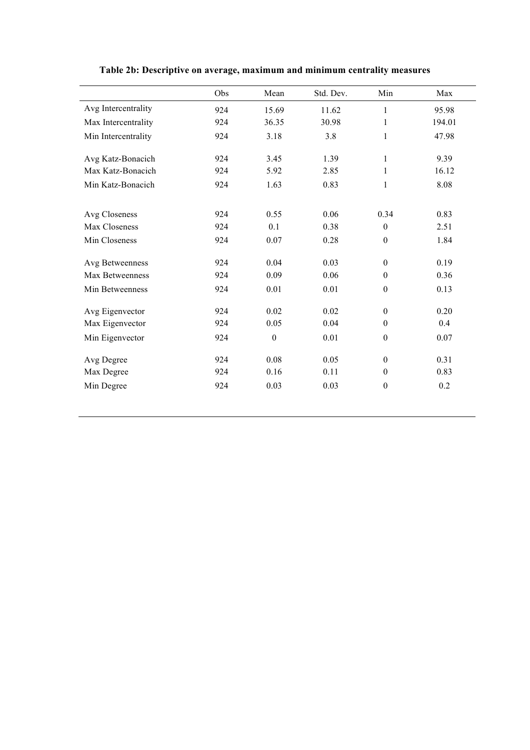|                     | Obs | Mean             | Std. Dev. | Min              | Max    |
|---------------------|-----|------------------|-----------|------------------|--------|
| Avg Intercentrality | 924 | 15.69            | 11.62     | 1                | 95.98  |
| Max Intercentrality | 924 | 36.35            | 30.98     | 1                | 194.01 |
| Min Intercentrality | 924 | 3.18             | 3.8       | 1                | 47.98  |
| Avg Katz-Bonacich   | 924 | 3.45             | 1.39      | $\mathbf{1}$     | 9.39   |
| Max Katz-Bonacich   | 924 | 5.92             | 2.85      | 1                | 16.12  |
| Min Katz-Bonacich   | 924 | 1.63             | 0.83      | $\mathbf{1}$     | 8.08   |
| Avg Closeness       | 924 | 0.55             | 0.06      | 0.34             | 0.83   |
| Max Closeness       | 924 | 0.1              | 0.38      | $\boldsymbol{0}$ | 2.51   |
| Min Closeness       | 924 | 0.07             | 0.28      | $\boldsymbol{0}$ | 1.84   |
| Avg Betweenness     | 924 | 0.04             | 0.03      | $\boldsymbol{0}$ | 0.19   |
| Max Betweenness     | 924 | 0.09             | 0.06      | $\theta$         | 0.36   |
| Min Betweenness     | 924 | 0.01             | 0.01      | $\boldsymbol{0}$ | 0.13   |
| Avg Eigenvector     | 924 | 0.02             | 0.02      | $\mathbf{0}$     | 0.20   |
| Max Eigenvector     | 924 | 0.05             | 0.04      | $\boldsymbol{0}$ | 0.4    |
| Min Eigenvector     | 924 | $\boldsymbol{0}$ | 0.01      | $\boldsymbol{0}$ | 0.07   |
| Avg Degree          | 924 | 0.08             | 0.05      | $\theta$         | 0.31   |
| Max Degree          | 924 | 0.16             | 0.11      | $\theta$         | 0.83   |
| Min Degree          | 924 | 0.03             | 0.03      | $\boldsymbol{0}$ | 0.2    |

**Table 2b: Descriptive on average, maximum and minimum centrality measures**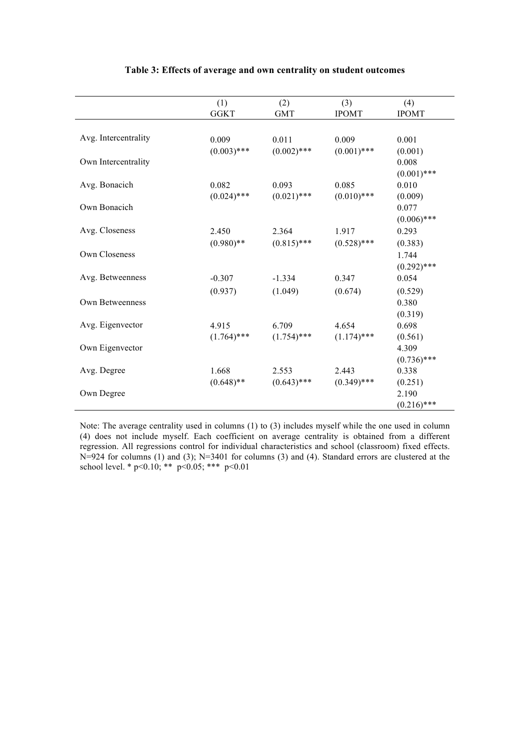|                      | (1)           | (2)           | (3)           | (4)           |
|----------------------|---------------|---------------|---------------|---------------|
|                      | <b>GGKT</b>   | <b>GMT</b>    | <b>IPOMT</b>  | <b>IPOMT</b>  |
|                      |               |               |               |               |
| Avg. Intercentrality | 0.009         | 0.011         | 0.009         | 0.001         |
|                      | $(0.003)$ *** | $(0.002)$ *** | $(0.001)$ *** | (0.001)       |
| Own Intercentrality  |               |               |               | 0.008         |
|                      |               |               |               | $(0.001)$ *** |
| Avg. Bonacich        | 0.082         | 0.093         | 0.085         | 0.010         |
|                      | $(0.024)$ *** | $(0.021)$ *** | $(0.010)$ *** | (0.009)       |
| Own Bonacich         |               |               |               | 0.077         |
|                      |               |               |               | $(0.006)$ *** |
| Avg. Closeness       | 2.450         | 2.364         | 1.917         | 0.293         |
|                      | $(0.980)$ **  | $(0.815)$ *** | $(0.528)$ *** | (0.383)       |
| Own Closeness        |               |               |               | 1.744         |
|                      |               |               |               | $(0.292)$ *** |
| Avg. Betweenness     | $-0.307$      | $-1.334$      | 0.347         | 0.054         |
|                      | (0.937)       | (1.049)       | (0.674)       | (0.529)       |
| Own Betweenness      |               |               |               | 0.380         |
|                      |               |               |               | (0.319)       |
| Avg. Eigenvector     | 4.915         | 6.709         | 4.654         | 0.698         |
|                      | $(1.764)$ *** | $(1.754)$ *** | $(1.174)$ *** | (0.561)       |
| Own Eigenvector      |               |               |               | 4.309         |
|                      |               |               |               | $(0.736)$ *** |
| Avg. Degree          | 1.668         | 2.553         | 2.443         | 0.338         |
|                      | $(0.648)$ **  | $(0.643)$ *** | $(0.349)$ *** | (0.251)       |
| Own Degree           |               |               |               | 2.190         |
|                      |               |               |               | $(0.216)$ *** |

#### **Table 3: Effects of average and own centrality on student outcomes**

Note: The average centrality used in columns (1) to (3) includes myself while the one used in column (4) does not include myself. Each coefficient on average centrality is obtained from a different regression. All regressions control for individual characteristics and school (classroom) fixed effects. N=924 for columns (1) and (3); N=3401 for columns (3) and (4). Standard errors are clustered at the school level. \* p<0.10; \*\* p<0.05; \*\*\* p<0.01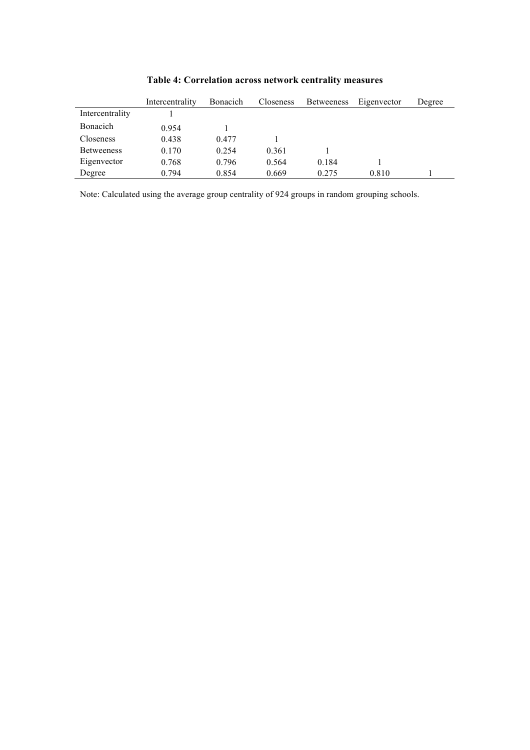|                   | Intercentrality | <b>Bonacich</b> | Closeness | <b>Betweeness</b> | Eigenvector | Degree |
|-------------------|-----------------|-----------------|-----------|-------------------|-------------|--------|
| Intercentrality   |                 |                 |           |                   |             |        |
| Bonacich          | 0.954           |                 |           |                   |             |        |
| <b>Closeness</b>  | 0.438           | 0.477           |           |                   |             |        |
| <b>Betweeness</b> | 0.170           | 0.254           | 0.361     |                   |             |        |
| Eigenvector       | 0.768           | 0.796           | 0.564     | 0.184             |             |        |
| Degree            | 0.794           | 0.854           | 0.669     | 0.275             | 0.810       |        |

**Table 4: Correlation across network centrality measures**

Note: Calculated using the average group centrality of 924 groups in random grouping schools.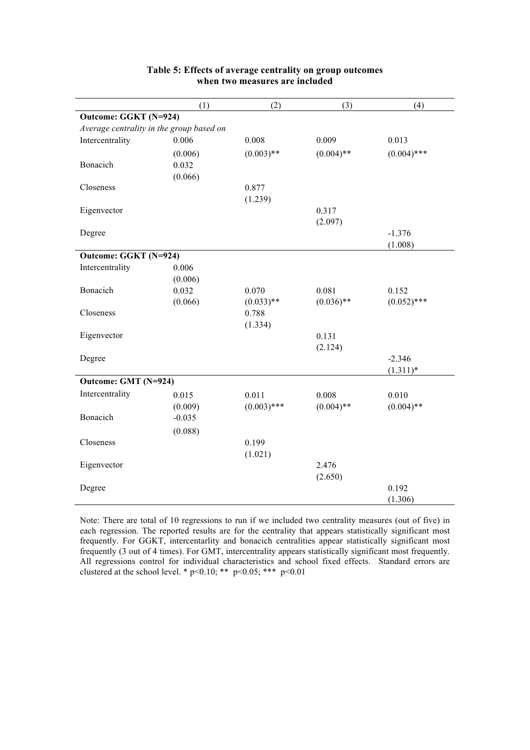|                                          | (1)      | (2)           | (3)          | (4)           |
|------------------------------------------|----------|---------------|--------------|---------------|
| Outcome: GGKT (N=924)                    |          |               |              |               |
| Average centrality in the group based on |          |               |              |               |
| Intercentrality                          | 0.006    | 0.008         | 0.009        | 0.013         |
|                                          | (0.006)  | $(0.003)$ **  | $(0.004)$ ** | $(0.004)$ *** |
| Bonacich                                 | 0.032    |               |              |               |
|                                          | (0.066)  |               |              |               |
| Closeness                                |          | 0.877         |              |               |
|                                          |          | (1.239)       |              |               |
| Eigenvector                              |          |               | 0.317        |               |
|                                          |          |               | (2.097)      |               |
| Degree                                   |          |               |              | $-1.376$      |
|                                          |          |               |              | (1.008)       |
| Outcome: GGKT (N=924)                    |          |               |              |               |
| Intercentrality                          | 0.006    |               |              |               |
|                                          | (0.006)  |               |              |               |
| Bonacich                                 | 0.032    | 0.070         | 0.081        | 0.152         |
|                                          | (0.066)  | $(0.033)$ **  | $(0.036)$ ** | $(0.052)$ *** |
| Closeness                                |          | 0.788         |              |               |
|                                          |          | (1.334)       |              |               |
| Eigenvector                              |          |               | 0.131        |               |
|                                          |          |               | (2.124)      |               |
| Degree                                   |          |               |              | $-2.346$      |
|                                          |          |               |              | $(1.311)*$    |
| Outcome: GMT (N=924)                     |          |               |              |               |
| Intercentrality                          | 0.015    | 0.011         | 0.008        | 0.010         |
|                                          | (0.009)  | $(0.003)$ *** | $(0.004)$ ** | $(0.004)$ **  |
| Bonacich                                 | $-0.035$ |               |              |               |
|                                          | (0.088)  |               |              |               |
| Closeness                                |          | 0.199         |              |               |
|                                          |          | (1.021)       |              |               |
| Eigenvector                              |          |               | 2.476        |               |
|                                          |          |               | (2.650)      |               |
| Degree                                   |          |               |              | 0.192         |
|                                          |          |               |              | (1.306)       |

### **Table 5: Effects of average centrality on group outcomes when two measures are included**

Note: There are total of 10 regressions to run if we included two centrality measures (out of five) in each regression. The reported results are for the centrality that appears statistically significant most frequently. For GGKT, intercentarlity and bonacich centralities appear statistically significant most frequently (3 out of 4 times). For GMT, intercentrality appears statistically significant most frequently. All regressions control for individual characteristics and school fixed effects. Standard errors are clustered at the school level. \*  $p < 0.10$ ; \*\*  $p < 0.05$ ; \*\*\*  $p < 0.01$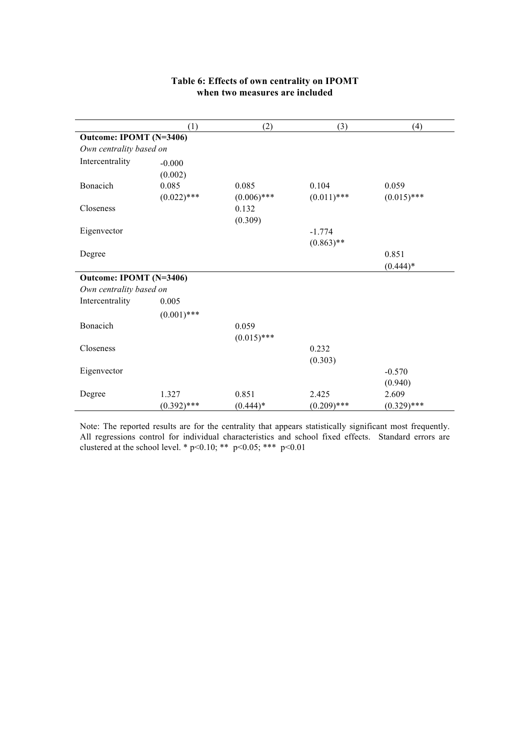|                         | (1)           | (2)           | (3)           | (4)           |
|-------------------------|---------------|---------------|---------------|---------------|
| Outcome: IPOMT (N=3406) |               |               |               |               |
| Own centrality based on |               |               |               |               |
| Intercentrality         | $-0.000$      |               |               |               |
|                         | (0.002)       |               |               |               |
| Bonacich                | 0.085         | 0.085         | 0.104         | 0.059         |
|                         | $(0.022)$ *** | $(0.006)$ *** | $(0.011)$ *** | $(0.015)$ *** |
| Closeness               |               | 0.132         |               |               |
|                         |               | (0.309)       |               |               |
| Eigenvector             |               |               | $-1.774$      |               |
|                         |               |               | $(0.863)$ **  |               |
| Degree                  |               |               |               | 0.851         |
|                         |               |               |               | $(0.444)*$    |
| Outcome: IPOMT (N=3406) |               |               |               |               |
| Own centrality based on |               |               |               |               |
| Intercentrality         | 0.005         |               |               |               |
|                         | $(0.001)$ *** |               |               |               |
| Bonacich                |               | 0.059         |               |               |
|                         |               | $(0.015)$ *** |               |               |
| Closeness               |               |               | 0.232         |               |
|                         |               |               | (0.303)       |               |
| Eigenvector             |               |               |               | $-0.570$      |
|                         |               |               |               | (0.940)       |
| Degree                  | 1.327         | 0.851         | 2.425         | 2.609         |
|                         | $(0.392)$ *** | $(0.444)*$    | $(0.209)$ *** | $(0.329)$ *** |

## **Table 6: Effects of own centrality on IPOMT when two measures are included**

Note: The reported results are for the centrality that appears statistically significant most frequently. All regressions control for individual characteristics and school fixed effects. Standard errors are clustered at the school level. \*  $p<0.10$ ; \*\*  $p<0.05$ ; \*\*\*  $p<0.01$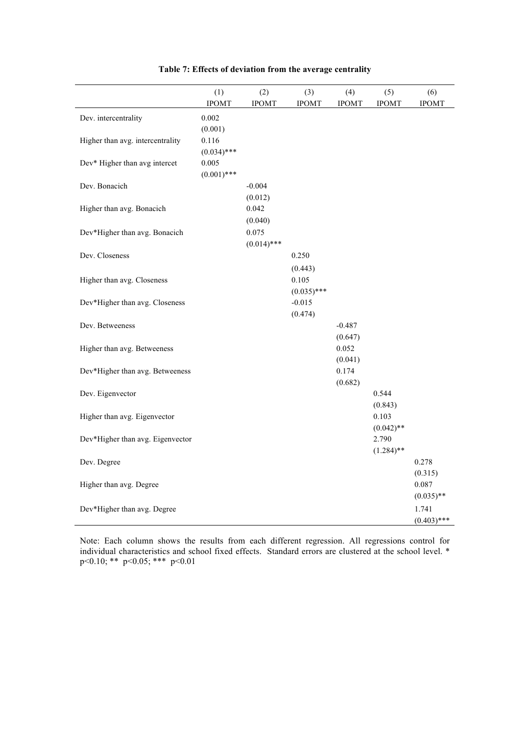|                                  | (1)<br><b>IPOMT</b>    | (2)<br><b>IPOMT</b>    | (3)<br><b>IPOMT</b>    | (4)<br><b>IPOMT</b> | (5)<br><b>IPOMT</b>   | (6)<br><b>IPOMT</b>                    |
|----------------------------------|------------------------|------------------------|------------------------|---------------------|-----------------------|----------------------------------------|
| Dev. intercentrality             | 0.002<br>(0.001)       |                        |                        |                     |                       |                                        |
| Higher than avg. intercentrality | 0.116<br>$(0.034)$ *** |                        |                        |                     |                       |                                        |
| Dev* Higher than avg intercet    | 0.005<br>$(0.001)$ *** |                        |                        |                     |                       |                                        |
| Dev. Bonacich                    |                        | $-0.004$<br>(0.012)    |                        |                     |                       |                                        |
| Higher than avg. Bonacich        |                        | 0.042<br>(0.040)       |                        |                     |                       |                                        |
| Dev*Higher than avg. Bonacich    |                        | 0.075<br>$(0.014)$ *** |                        |                     |                       |                                        |
| Dev. Closeness                   |                        |                        | 0.250<br>(0.443)       |                     |                       |                                        |
| Higher than avg. Closeness       |                        |                        | 0.105<br>$(0.035)$ *** |                     |                       |                                        |
| Dev*Higher than avg. Closeness   |                        |                        | $-0.015$<br>(0.474)    |                     |                       |                                        |
| Dev. Betweeness                  |                        |                        |                        | $-0.487$<br>(0.647) |                       |                                        |
| Higher than avg. Betweeness      |                        |                        |                        | 0.052<br>(0.041)    |                       |                                        |
| Dev*Higher than avg. Betweeness  |                        |                        |                        | 0.174<br>(0.682)    |                       |                                        |
| Dev. Eigenvector                 |                        |                        |                        |                     | 0.544<br>(0.843)      |                                        |
| Higher than avg. Eigenvector     |                        |                        |                        |                     | 0.103<br>$(0.042)$ ** |                                        |
| Dev*Higher than avg. Eigenvector |                        |                        |                        |                     | 2.790<br>$(1.284)$ ** |                                        |
| Dev. Degree                      |                        |                        |                        |                     |                       | 0.278                                  |
| Higher than avg. Degree          |                        |                        |                        |                     |                       | (0.315)<br>0.087                       |
| Dev*Higher than avg. Degree      |                        |                        |                        |                     |                       | $(0.035)$ **<br>1.741<br>$(0.403)$ *** |

### **Table 7: Effects of deviation from the average centrality**

Note: Each column shows the results from each different regression. All regressions control for individual characteristics and school fixed effects. Standard errors are clustered at the school level. \* p<0.10; \*\* p<0.05; \*\*\* p<0.01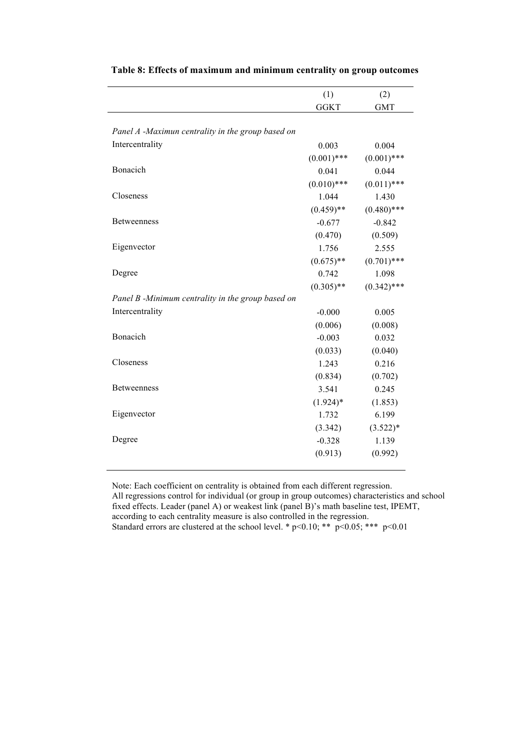|                                                   | (1)           | (2)           |
|---------------------------------------------------|---------------|---------------|
|                                                   | <b>GGKT</b>   | <b>GMT</b>    |
|                                                   |               |               |
| Panel A -Maximun centrality in the group based on |               |               |
| Intercentrality                                   | 0.003         | 0.004         |
|                                                   | $(0.001)$ *** | $(0.001)$ *** |
| Bonacich                                          | 0.041         | 0.044         |
|                                                   | $(0.010)$ *** | $(0.011)$ *** |
| Closeness                                         | 1.044         | 1.430         |
|                                                   | $(0.459)$ **  | $(0.480)$ *** |
| <b>Betweenness</b>                                | $-0.677$      | $-0.842$      |
|                                                   | (0.470)       | (0.509)       |
| Eigenvector                                       | 1.756         | 2.555         |
|                                                   | $(0.675)$ **  | $(0.701)$ *** |
| Degree                                            | 0.742         | 1.098         |
|                                                   | $(0.305)$ **  | $(0.342)$ *** |
| Panel B -Minimum centrality in the group based on |               |               |
| Intercentrality                                   | $-0.000$      | 0.005         |
|                                                   | (0.006)       | (0.008)       |
| Bonacich                                          | $-0.003$      | 0.032         |
|                                                   | (0.033)       | (0.040)       |
| Closeness                                         | 1.243         | 0.216         |
|                                                   | (0.834)       | (0.702)       |
| <b>Betweenness</b>                                | 3.541         | 0.245         |
|                                                   | $(1.924)$ *   | (1.853)       |
| Eigenvector                                       | 1.732         | 6.199         |
|                                                   | (3.342)       | $(3.522)*$    |
| Degree                                            | $-0.328$      | 1.139         |
|                                                   | (0.913)       | (0.992)       |
|                                                   |               |               |

**Table 8: Effects of maximum and minimum centrality on group outcomes**

Note: Each coefficient on centrality is obtained from each different regression. All regressions control for individual (or group in group outcomes) characteristics and school fixed effects. Leader (panel A) or weakest link (panel B)'s math baseline test, IPEMT, according to each centrality measure is also controlled in the regression. Standard errors are clustered at the school level. \* p<0.10; \*\*  $p<0.05$ ; \*\*\* p<0.01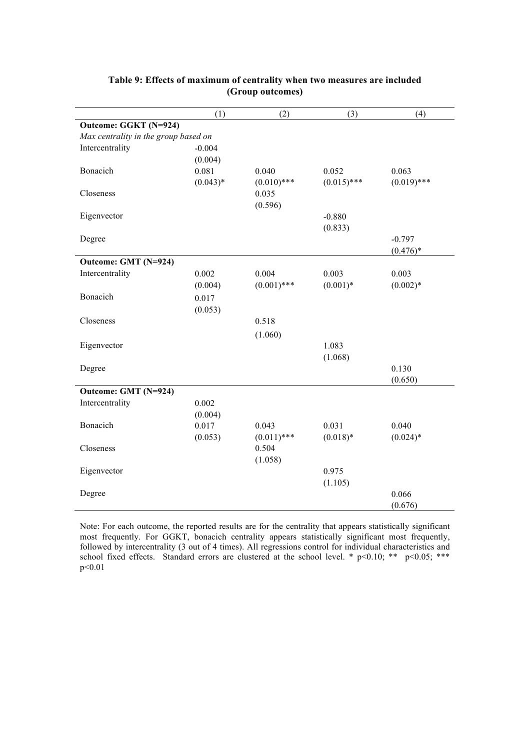|                                      | (1)        | (2)           | (3)           | (4)           |
|--------------------------------------|------------|---------------|---------------|---------------|
| Outcome: GGKT (N=924)                |            |               |               |               |
| Max centrality in the group based on |            |               |               |               |
| Intercentrality                      | $-0.004$   |               |               |               |
|                                      | (0.004)    |               |               |               |
| Bonacich                             | 0.081      | 0.040         | 0.052         | 0.063         |
|                                      | $(0.043)*$ | $(0.010)$ *** | $(0.015)$ *** | $(0.019)$ *** |
| Closeness                            |            | 0.035         |               |               |
|                                      |            | (0.596)       |               |               |
| Eigenvector                          |            |               | $-0.880$      |               |
|                                      |            |               | (0.833)       |               |
| Degree                               |            |               |               | $-0.797$      |
|                                      |            |               |               | $(0.476)*$    |
| Outcome: GMT (N=924)                 |            |               |               |               |
| Intercentrality                      | 0.002      | 0.004         | 0.003         | 0.003         |
|                                      | (0.004)    | $(0.001)$ *** | $(0.001)*$    | $(0.002)*$    |
| Bonacich                             | 0.017      |               |               |               |
|                                      | (0.053)    |               |               |               |
| Closeness                            |            | 0.518         |               |               |
|                                      |            | (1.060)       |               |               |
| Eigenvector                          |            |               | 1.083         |               |
|                                      |            |               | (1.068)       |               |
| Degree                               |            |               |               | 0.130         |
|                                      |            |               |               | (0.650)       |
| Outcome: GMT (N=924)                 |            |               |               |               |
| Intercentrality                      | 0.002      |               |               |               |
|                                      | (0.004)    |               |               |               |
| Bonacich                             | 0.017      | 0.043         | 0.031         | 0.040         |
|                                      | (0.053)    | $(0.011)$ *** | $(0.018)*$    | $(0.024)$ *   |
| Closeness                            |            | 0.504         |               |               |
|                                      |            | (1.058)       |               |               |
| Eigenvector                          |            |               | 0.975         |               |
|                                      |            |               | (1.105)       |               |
| Degree                               |            |               |               | 0.066         |
|                                      |            |               |               | (0.676)       |

### **Table 9: Effects of maximum of centrality when two measures are included (Group outcomes)**

Note: For each outcome, the reported results are for the centrality that appears statistically significant most frequently. For GGKT, bonacich centrality appears statistically significant most frequently, followed by intercentrality (3 out of 4 times). All regressions control for individual characteristics and school fixed effects. Standard errors are clustered at the school level. \*  $p<0.10$ ; \*\*  $p<0.05$ ; \*\*\* p<0.01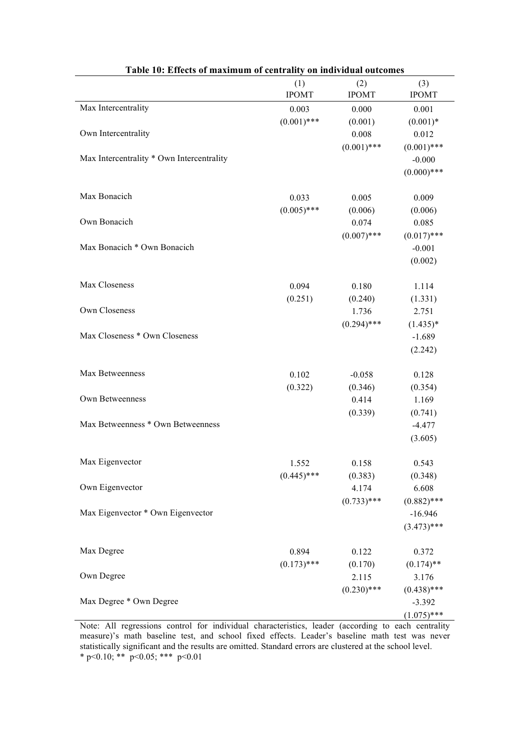| Table 10: Effects of maximum of centrality on individual outcomes |                        |                     |                     |  |
|-------------------------------------------------------------------|------------------------|---------------------|---------------------|--|
|                                                                   | (1)<br><b>IPOMT</b>    | (2)<br><b>IPOMT</b> | (3)<br><b>IPOMT</b> |  |
| Max Intercentrality                                               | 0.003                  | 0.000               | 0.001               |  |
|                                                                   | $(0.001)$ ***          | (0.001)             | $(0.001)*$          |  |
| Own Intercentrality                                               |                        | 0.008               | 0.012               |  |
|                                                                   |                        | $(0.001)$ ***       | $(0.001)$ ***       |  |
| Max Intercentrality * Own Intercentrality                         |                        |                     | $-0.000$            |  |
|                                                                   |                        |                     | $(0.000)$ ***       |  |
|                                                                   |                        |                     |                     |  |
| Max Bonacich                                                      | 0.033                  | 0.005               | 0.009               |  |
|                                                                   | $(0.005)$ ***          | (0.006)             | (0.006)             |  |
| Own Bonacich                                                      |                        | 0.074               | 0.085               |  |
|                                                                   |                        | $(0.007)$ ***       | $(0.017)$ ***       |  |
| Max Bonacich * Own Bonacich                                       |                        |                     | $-0.001$            |  |
|                                                                   |                        |                     | (0.002)             |  |
|                                                                   |                        |                     |                     |  |
| Max Closeness                                                     | 0.094                  | 0.180               | 1.114               |  |
|                                                                   | (0.251)                | (0.240)             | (1.331)             |  |
| Own Closeness                                                     |                        | 1.736               | 2.751               |  |
|                                                                   |                        | $(0.294)$ ***       | $(1.435)*$          |  |
| Max Closeness * Own Closeness                                     |                        |                     | $-1.689$            |  |
|                                                                   |                        |                     | (2.242)             |  |
|                                                                   |                        |                     |                     |  |
| Max Betweenness                                                   | 0.102                  | $-0.058$            | 0.128               |  |
|                                                                   | (0.322)                | (0.346)             | (0.354)             |  |
| Own Betweenness                                                   |                        | 0.414               | 1.169               |  |
|                                                                   |                        | (0.339)             | (0.741)             |  |
| Max Betweenness * Own Betweenness                                 |                        |                     | $-4.477$            |  |
|                                                                   |                        |                     | (3.605)             |  |
| Max Eigenvector                                                   |                        |                     | 0.543               |  |
|                                                                   | 1.552<br>$(0.445)$ *** | 0.158               |                     |  |
| Own Eigenvector                                                   |                        | (0.383)<br>4.174    | (0.348)<br>6.608    |  |
|                                                                   |                        | $(0.733)$ ***       | $(0.882)$ ***       |  |
| Max Eigenvector * Own Eigenvector                                 |                        |                     | $-16.946$           |  |
|                                                                   |                        |                     | $(3.473)$ ***       |  |
|                                                                   |                        |                     |                     |  |
| Max Degree                                                        | 0.894                  | 0.122               | 0.372               |  |
|                                                                   | $(0.173)$ ***          | (0.170)             | $(0.174)$ **        |  |
| Own Degree                                                        |                        | 2.115               | 3.176               |  |
|                                                                   |                        | $(0.230)$ ***       | $(0.438)$ ***       |  |
| Max Degree * Own Degree                                           |                        |                     | $-3.392$            |  |
|                                                                   |                        |                     | $(1.075)$ ***       |  |

Note: All regressions control for individual characteristics, leader (according to each centrality measure)'s math baseline test, and school fixed effects. Leader's baseline math test was never statistically significant and the results are omitted. Standard errors are clustered at the school level. \* p<0.10; \*\* p<0.05; \*\*\* p<0.01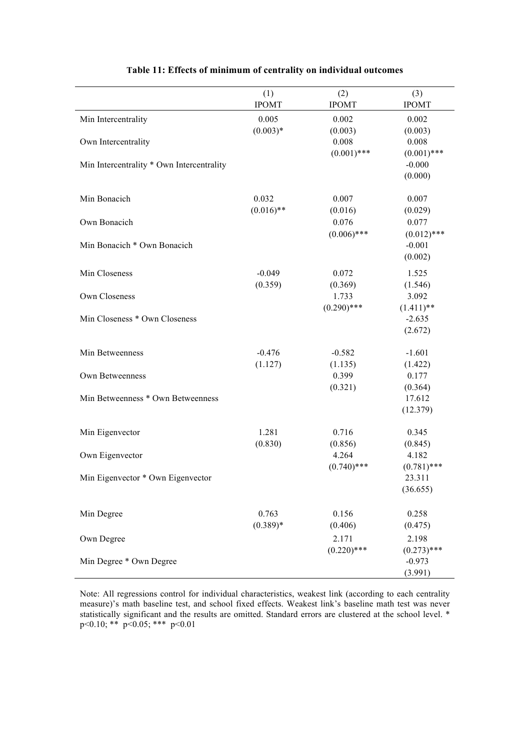|                                           | (1)                 | (2)              | (3)              |
|-------------------------------------------|---------------------|------------------|------------------|
|                                           | <b>IPOMT</b>        | <b>IPOMT</b>     | <b>IPOMT</b>     |
| Min Intercentrality                       | 0.005<br>$(0.003)*$ | 0.002<br>(0.003) | 0.002<br>(0.003) |
| Own Intercentrality                       |                     | 0.008            | 0.008            |
|                                           |                     | $(0.001)$ ***    | $(0.001)$ ***    |
| Min Intercentrality * Own Intercentrality |                     |                  | $-0.000$         |
|                                           |                     |                  | (0.000)          |
| Min Bonacich                              | 0.032               | 0.007            | 0.007            |
|                                           | $(0.016)$ **        | (0.016)          | (0.029)          |
| Own Bonacich                              |                     | 0.076            | 0.077            |
|                                           |                     | $(0.006)$ ***    | $(0.012)$ ***    |
| Min Bonacich * Own Bonacich               |                     |                  | $-0.001$         |
|                                           |                     |                  | (0.002)          |
| Min Closeness                             | $-0.049$            | 0.072            | 1.525            |
|                                           | (0.359)             | (0.369)          | (1.546)          |
| Own Closeness                             |                     | 1.733            | 3.092            |
|                                           |                     | $(0.290)$ ***    | $(1.411)$ **     |
| Min Closeness * Own Closeness             |                     |                  | $-2.635$         |
|                                           |                     |                  | (2.672)          |
| Min Betweenness                           | $-0.476$            | $-0.582$         | $-1.601$         |
|                                           | (1.127)             | (1.135)          | (1.422)          |
| Own Betweenness                           |                     | 0.399            | 0.177            |
|                                           |                     | (0.321)          | (0.364)          |
| Min Betweenness * Own Betweenness         |                     |                  | 17.612           |
|                                           |                     |                  | (12.379)         |
| Min Eigenvector                           | 1.281               | 0.716            | 0.345            |
|                                           | (0.830)             | (0.856)          | (0.845)          |
| Own Eigenvector                           |                     | 4.264            | 4.182            |
|                                           |                     | $(0.740)$ ***    | $(0.781)$ ***    |
| Min Eigenvector * Own Eigenvector         |                     |                  | 23.311           |
|                                           |                     |                  | (36.655)         |
| Min Degree                                | 0.763               | 0.156            | 0.258            |
|                                           | $(0.389)*$          | (0.406)          | (0.475)          |
| Own Degree                                |                     | 2.171            | 2.198            |
|                                           |                     | $(0.220)$ ***    | $(0.273)$ ***    |
| Min Degree * Own Degree                   |                     |                  | $-0.973$         |
|                                           |                     |                  | (3.991)          |

### **Table 11: Effects of minimum of centrality on individual outcomes**

Note: All regressions control for individual characteristics, weakest link (according to each centrality measure)'s math baseline test, and school fixed effects. Weakest link's baseline math test was never statistically significant and the results are omitted. Standard errors are clustered at the school level. \* p<0.10; \*\* p<0.05; \*\*\* p<0.01